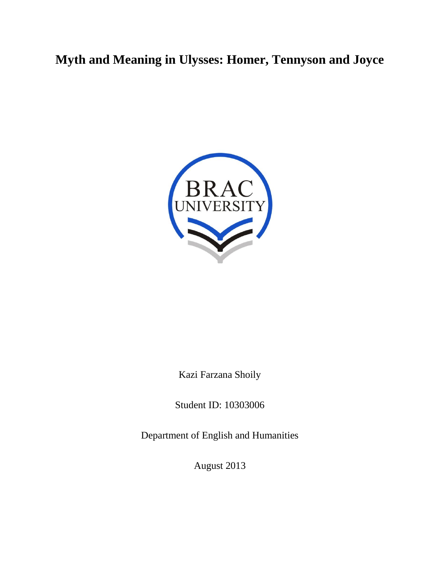# **Myth and Meaning in Ulysses: Homer, Tennyson and Joyce**



Kazi Farzana Shoily

Student ID: 10303006

Department of English and Humanities

August 2013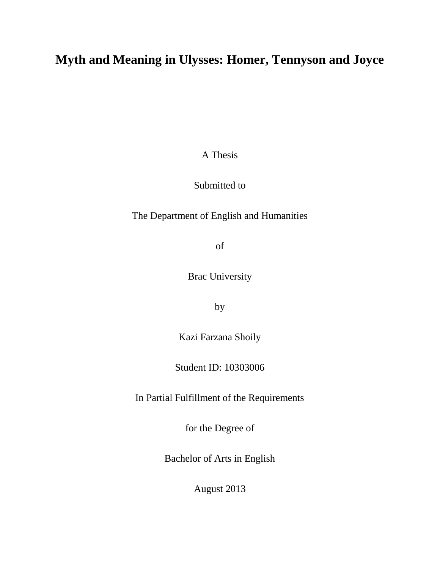# **Myth and Meaning in Ulysses: Homer, Tennyson and Joyce**

A Thesis

Submitted to

The Department of English and Humanities

of

Brac University

by

Kazi Farzana Shoily

Student ID: 10303006

In Partial Fulfillment of the Requirements

for the Degree of

Bachelor of Arts in English

August 2013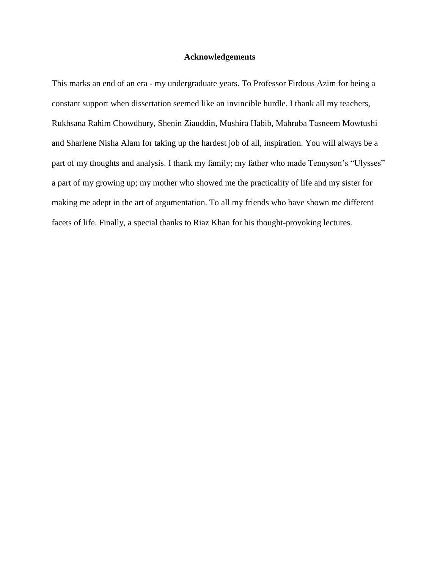# **Acknowledgements**

This marks an end of an era - my undergraduate years. To Professor Firdous Azim for being a constant support when dissertation seemed like an invincible hurdle. I thank all my teachers, Rukhsana Rahim Chowdhury, Shenin Ziauddin, Mushira Habib, Mahruba Tasneem Mowtushi and Sharlene Nisha Alam for taking up the hardest job of all, inspiration. You will always be a part of my thoughts and analysis. I thank my family; my father who made Tennyson's "Ulysses" a part of my growing up; my mother who showed me the practicality of life and my sister for making me adept in the art of argumentation. To all my friends who have shown me different facets of life. Finally, a special thanks to Riaz Khan for his thought-provoking lectures.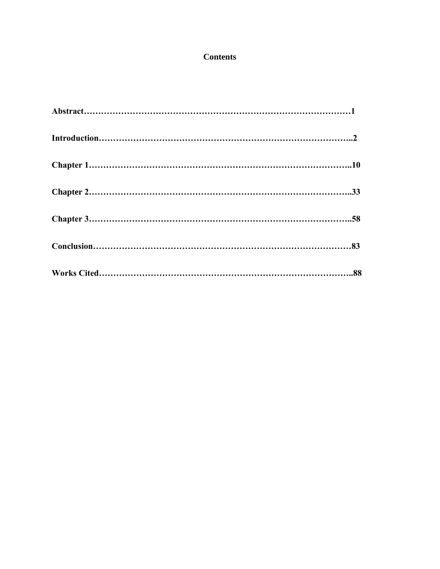# **Contents**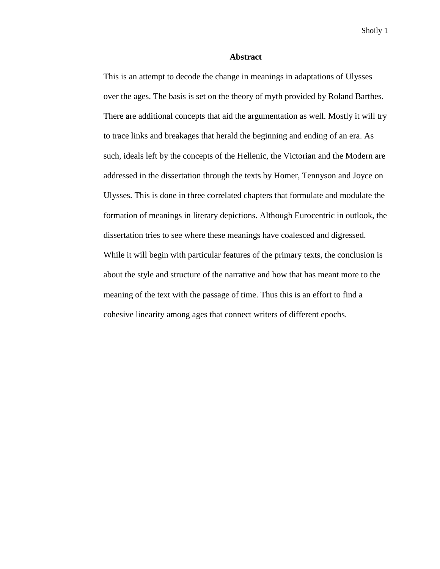#### **Abstract**

This is an attempt to decode the change in meanings in adaptations of Ulysses over the ages. The basis is set on the theory of myth provided by Roland Barthes. There are additional concepts that aid the argumentation as well. Mostly it will try to trace links and breakages that herald the beginning and ending of an era. As such, ideals left by the concepts of the Hellenic, the Victorian and the Modern are addressed in the dissertation through the texts by Homer, Tennyson and Joyce on Ulysses. This is done in three correlated chapters that formulate and modulate the formation of meanings in literary depictions. Although Eurocentric in outlook, the dissertation tries to see where these meanings have coalesced and digressed. While it will begin with particular features of the primary texts, the conclusion is about the style and structure of the narrative and how that has meant more to the meaning of the text with the passage of time. Thus this is an effort to find a cohesive linearity among ages that connect writers of different epochs.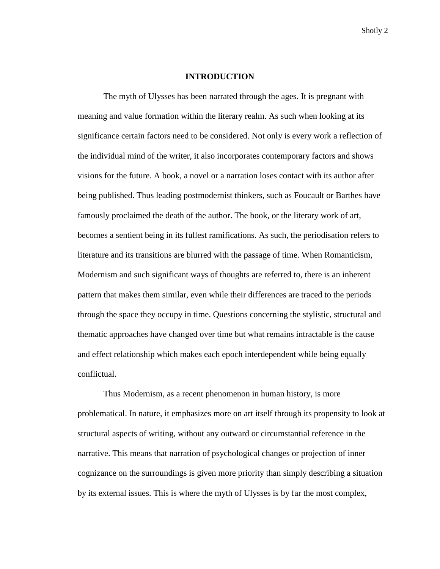#### **INTRODUCTION**

The myth of Ulysses has been narrated through the ages. It is pregnant with meaning and value formation within the literary realm. As such when looking at its significance certain factors need to be considered. Not only is every work a reflection of the individual mind of the writer, it also incorporates contemporary factors and shows visions for the future. A book, a novel or a narration loses contact with its author after being published. Thus leading postmodernist thinkers, such as Foucault or Barthes have famously proclaimed the death of the author. The book, or the literary work of art, becomes a sentient being in its fullest ramifications. As such, the periodisation refers to literature and its transitions are blurred with the passage of time. When Romanticism, Modernism and such significant ways of thoughts are referred to, there is an inherent pattern that makes them similar, even while their differences are traced to the periods through the space they occupy in time. Questions concerning the stylistic, structural and thematic approaches have changed over time but what remains intractable is the cause and effect relationship which makes each epoch interdependent while being equally conflictual.

Thus Modernism, as a recent phenomenon in human history, is more problematical. In nature, it emphasizes more on art itself through its propensity to look at structural aspects of writing, without any outward or circumstantial reference in the narrative. This means that narration of psychological changes or projection of inner cognizance on the surroundings is given more priority than simply describing a situation by its external issues. This is where the myth of Ulysses is by far the most complex,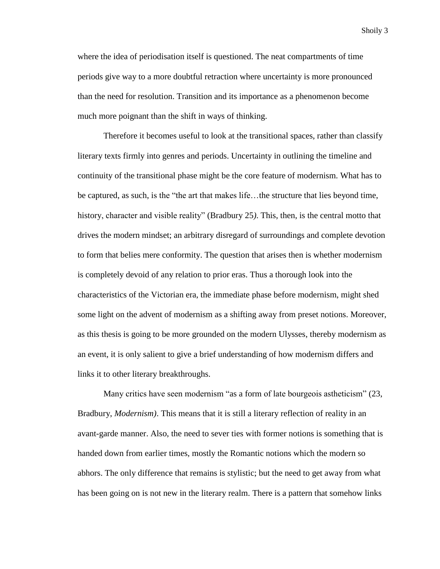where the idea of periodisation itself is questioned. The neat compartments of time periods give way to a more doubtful retraction where uncertainty is more pronounced than the need for resolution. Transition and its importance as a phenomenon become much more poignant than the shift in ways of thinking.

Therefore it becomes useful to look at the transitional spaces, rather than classify literary texts firmly into genres and periods. Uncertainty in outlining the timeline and continuity of the transitional phase might be the core feature of modernism. What has to be captured, as such, is the "the art that makes life…the structure that lies beyond time, history, character and visible reality" (Bradbury 25*)*. This, then, is the central motto that drives the modern mindset; an arbitrary disregard of surroundings and complete devotion to form that belies mere conformity. The question that arises then is whether modernism is completely devoid of any relation to prior eras. Thus a thorough look into the characteristics of the Victorian era, the immediate phase before modernism, might shed some light on the advent of modernism as a shifting away from preset notions. Moreover, as this thesis is going to be more grounded on the modern Ulysses, thereby modernism as an event, it is only salient to give a brief understanding of how modernism differs and links it to other literary breakthroughs.

Many critics have seen modernism "as a form of late bourgeois astheticism" (23, Bradbury, *Modernism)*. This means that it is still a literary reflection of reality in an avant-garde manner. Also, the need to sever ties with former notions is something that is handed down from earlier times, mostly the Romantic notions which the modern so abhors. The only difference that remains is stylistic; but the need to get away from what has been going on is not new in the literary realm. There is a pattern that somehow links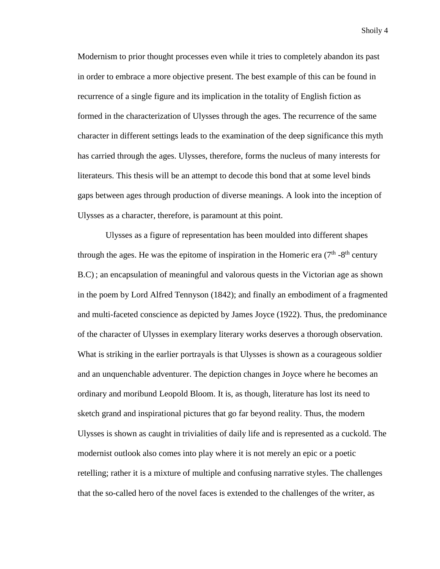Modernism to prior thought processes even while it tries to completely abandon its past in order to embrace a more objective present. The best example of this can be found in recurrence of a single figure and its implication in the totality of English fiction as formed in the characterization of Ulysses through the ages. The recurrence of the same character in different settings leads to the examination of the deep significance this myth has carried through the ages. Ulysses, therefore, forms the nucleus of many interests for literateurs. This thesis will be an attempt to decode this bond that at some level binds gaps between ages through production of diverse meanings. A look into the inception of Ulysses as a character, therefore, is paramount at this point.

Ulysses as a figure of representation has been moulded into different shapes through the ages. He was the epitome of inspiration in the Homeric era  $(7<sup>th</sup> - 8<sup>th</sup>$  century B.C) ; an encapsulation of meaningful and valorous quests in the Victorian age as shown in the poem by Lord Alfred Tennyson (1842); and finally an embodiment of a fragmented and multi-faceted conscience as depicted by James Joyce (1922). Thus, the predominance of the character of Ulysses in exemplary literary works deserves a thorough observation. What is striking in the earlier portrayals is that Ulysses is shown as a courageous soldier and an unquenchable adventurer. The depiction changes in Joyce where he becomes an ordinary and moribund Leopold Bloom. It is, as though, literature has lost its need to sketch grand and inspirational pictures that go far beyond reality. Thus, the modern Ulysses is shown as caught in trivialities of daily life and is represented as a cuckold. The modernist outlook also comes into play where it is not merely an epic or a poetic retelling; rather it is a mixture of multiple and confusing narrative styles. The challenges that the so-called hero of the novel faces is extended to the challenges of the writer, as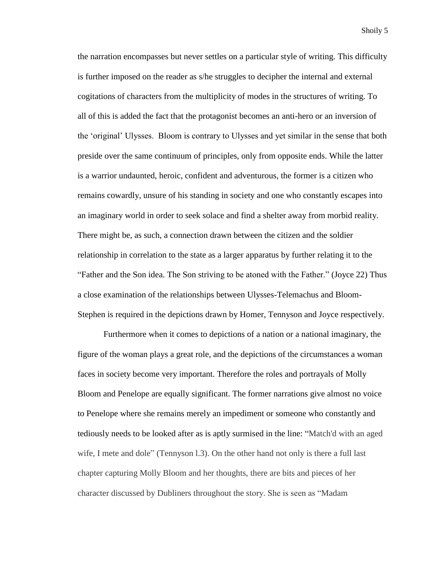the narration encompasses but never settles on a particular style of writing. This difficulty is further imposed on the reader as s/he struggles to decipher the internal and external cogitations of characters from the multiplicity of modes in the structures of writing. To all of this is added the fact that the protagonist becomes an anti-hero or an inversion of the 'original' Ulysses. Bloom is contrary to Ulysses and yet similar in the sense that both preside over the same continuum of principles, only from opposite ends. While the latter is a warrior undaunted, heroic, confident and adventurous, the former is a citizen who remains cowardly, unsure of his standing in society and one who constantly escapes into an imaginary world in order to seek solace and find a shelter away from morbid reality. There might be, as such, a connection drawn between the citizen and the soldier relationship in correlation to the state as a larger apparatus by further relating it to the "Father and the Son idea. The Son striving to be atoned with the Father." (Joyce 22) Thus a close examination of the relationships between Ulysses-Telemachus and Bloom-Stephen is required in the depictions drawn by Homer, Tennyson and Joyce respectively.

Furthermore when it comes to depictions of a nation or a national imaginary, the figure of the woman plays a great role, and the depictions of the circumstances a woman faces in society become very important. Therefore the roles and portrayals of Molly Bloom and Penelope are equally significant. The former narrations give almost no voice to Penelope where she remains merely an impediment or someone who constantly and tediously needs to be looked after as is aptly surmised in the line: "Match'd with an aged wife, I mete and dole" (Tennyson 1.3). On the other hand not only is there a full last chapter capturing Molly Bloom and her thoughts, there are bits and pieces of her character discussed by Dubliners throughout the story. She is seen as "Madam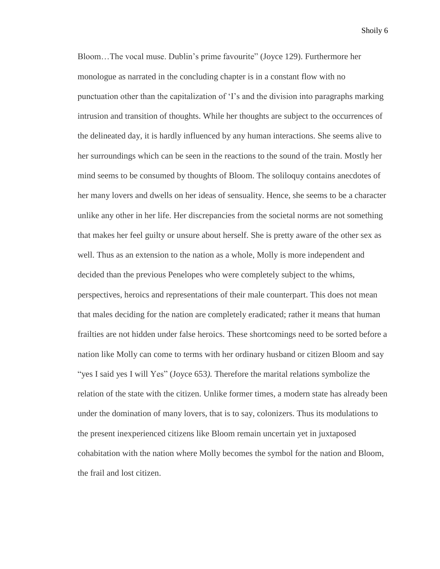Bloom…The vocal muse. Dublin's prime favourite" (Joyce 129). Furthermore her monologue as narrated in the concluding chapter is in a constant flow with no punctuation other than the capitalization of 'I's and the division into paragraphs marking intrusion and transition of thoughts. While her thoughts are subject to the occurrences of the delineated day, it is hardly influenced by any human interactions. She seems alive to her surroundings which can be seen in the reactions to the sound of the train. Mostly her mind seems to be consumed by thoughts of Bloom. The soliloquy contains anecdotes of her many lovers and dwells on her ideas of sensuality. Hence, she seems to be a character unlike any other in her life. Her discrepancies from the societal norms are not something that makes her feel guilty or unsure about herself. She is pretty aware of the other sex as well. Thus as an extension to the nation as a whole, Molly is more independent and decided than the previous Penelopes who were completely subject to the whims, perspectives, heroics and representations of their male counterpart. This does not mean that males deciding for the nation are completely eradicated; rather it means that human frailties are not hidden under false heroics. These shortcomings need to be sorted before a nation like Molly can come to terms with her ordinary husband or citizen Bloom and say "yes I said yes I will Yes" (Joyce 653*).* Therefore the marital relations symbolize the relation of the state with the citizen. Unlike former times, a modern state has already been under the domination of many lovers, that is to say, colonizers. Thus its modulations to the present inexperienced citizens like Bloom remain uncertain yet in juxtaposed cohabitation with the nation where Molly becomes the symbol for the nation and Bloom, the frail and lost citizen.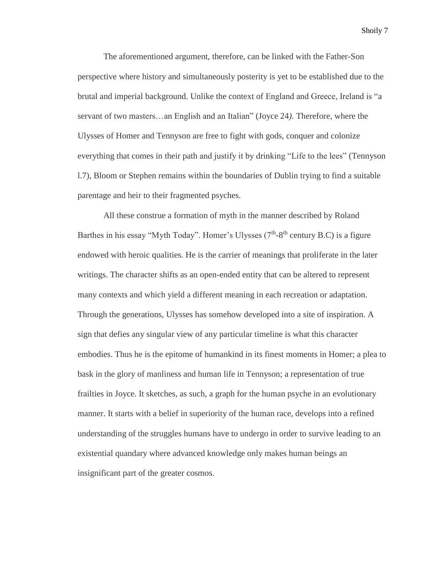The aforementioned argument, therefore, can be linked with the Father-Son perspective where history and simultaneously posterity is yet to be established due to the brutal and imperial background. Unlike the context of England and Greece, Ireland is "a servant of two masters…an English and an Italian" (Joyce 24*).* Therefore, where the Ulysses of Homer and Tennyson are free to fight with gods, conquer and colonize everything that comes in their path and justify it by drinking "Life to the lees" (Tennyson l.7), Bloom or Stephen remains within the boundaries of Dublin trying to find a suitable parentage and heir to their fragmented psyches.

All these construe a formation of myth in the manner described by Roland Barthes in his essay "Myth Today". Homer's Ulysses  $(7<sup>th</sup>-8<sup>th</sup>$  century B.C) is a figure endowed with heroic qualities. He is the carrier of meanings that proliferate in the later writings. The character shifts as an open-ended entity that can be altered to represent many contexts and which yield a different meaning in each recreation or adaptation. Through the generations, Ulysses has somehow developed into a site of inspiration. A sign that defies any singular view of any particular timeline is what this character embodies. Thus he is the epitome of humankind in its finest moments in Homer; a plea to bask in the glory of manliness and human life in Tennyson; a representation of true frailties in Joyce. It sketches, as such, a graph for the human psyche in an evolutionary manner. It starts with a belief in superiority of the human race, develops into a refined understanding of the struggles humans have to undergo in order to survive leading to an existential quandary where advanced knowledge only makes human beings an insignificant part of the greater cosmos.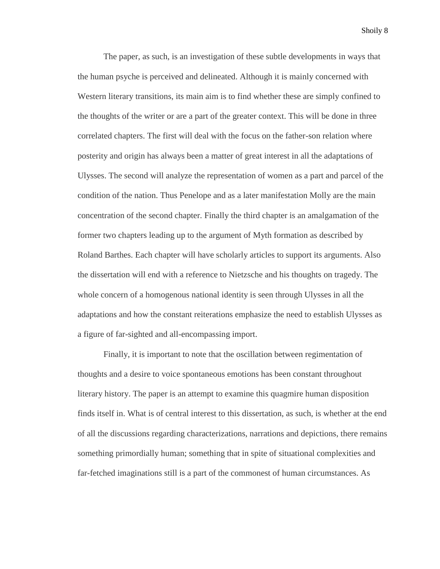The paper, as such, is an investigation of these subtle developments in ways that the human psyche is perceived and delineated. Although it is mainly concerned with Western literary transitions, its main aim is to find whether these are simply confined to the thoughts of the writer or are a part of the greater context. This will be done in three correlated chapters. The first will deal with the focus on the father-son relation where posterity and origin has always been a matter of great interest in all the adaptations of Ulysses. The second will analyze the representation of women as a part and parcel of the condition of the nation. Thus Penelope and as a later manifestation Molly are the main concentration of the second chapter. Finally the third chapter is an amalgamation of the former two chapters leading up to the argument of Myth formation as described by Roland Barthes. Each chapter will have scholarly articles to support its arguments. Also the dissertation will end with a reference to Nietzsche and his thoughts on tragedy. The whole concern of a homogenous national identity is seen through Ulysses in all the adaptations and how the constant reiterations emphasize the need to establish Ulysses as a figure of far-sighted and all-encompassing import.

Finally, it is important to note that the oscillation between regimentation of thoughts and a desire to voice spontaneous emotions has been constant throughout literary history. The paper is an attempt to examine this quagmire human disposition finds itself in. What is of central interest to this dissertation, as such, is whether at the end of all the discussions regarding characterizations, narrations and depictions, there remains something primordially human; something that in spite of situational complexities and far-fetched imaginations still is a part of the commonest of human circumstances. As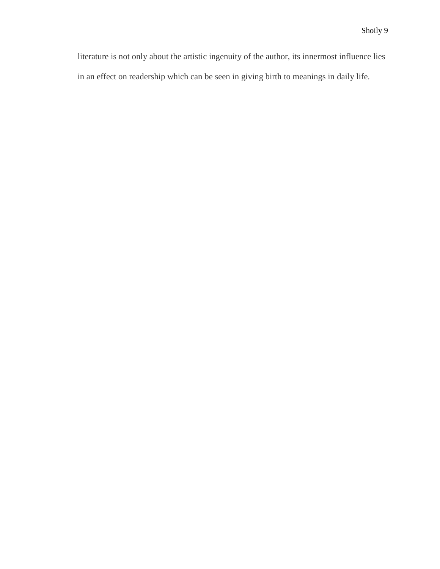literature is not only about the artistic ingenuity of the author, its innermost influence lies in an effect on readership which can be seen in giving birth to meanings in daily life.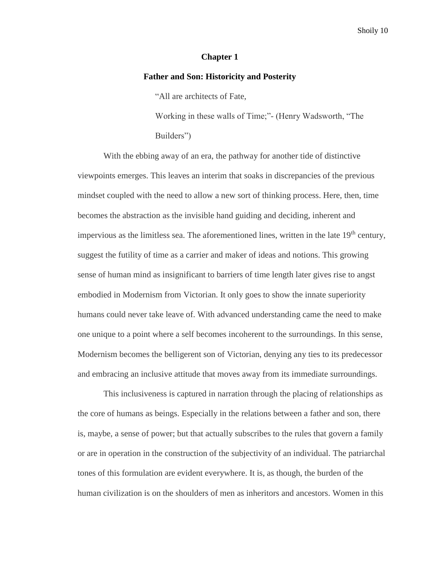### **Chapter 1**

#### **Father and Son: Historicity and Posterity**

"All are architects of Fate,

Working in these walls of Time;"- (Henry Wadsworth, "The Builders")

With the ebbing away of an era, the pathway for another tide of distinctive viewpoints emerges. This leaves an interim that soaks in discrepancies of the previous mindset coupled with the need to allow a new sort of thinking process. Here, then, time becomes the abstraction as the invisible hand guiding and deciding, inherent and impervious as the limitless sea. The aforementioned lines, written in the late  $19<sup>th</sup>$  century, suggest the futility of time as a carrier and maker of ideas and notions. This growing sense of human mind as insignificant to barriers of time length later gives rise to angst embodied in Modernism from Victorian. It only goes to show the innate superiority humans could never take leave of. With advanced understanding came the need to make one unique to a point where a self becomes incoherent to the surroundings. In this sense, Modernism becomes the belligerent son of Victorian, denying any ties to its predecessor and embracing an inclusive attitude that moves away from its immediate surroundings.

This inclusiveness is captured in narration through the placing of relationships as the core of humans as beings. Especially in the relations between a father and son, there is, maybe, a sense of power; but that actually subscribes to the rules that govern a family or are in operation in the construction of the subjectivity of an individual. The patriarchal tones of this formulation are evident everywhere. It is, as though, the burden of the human civilization is on the shoulders of men as inheritors and ancestors. Women in this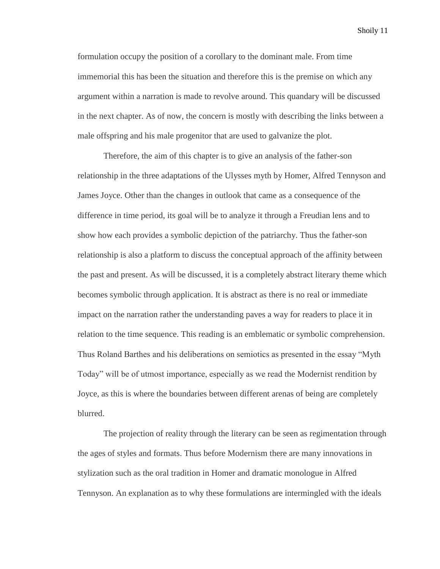formulation occupy the position of a corollary to the dominant male. From time immemorial this has been the situation and therefore this is the premise on which any argument within a narration is made to revolve around. This quandary will be discussed in the next chapter. As of now, the concern is mostly with describing the links between a male offspring and his male progenitor that are used to galvanize the plot.

Therefore, the aim of this chapter is to give an analysis of the father-son relationship in the three adaptations of the Ulysses myth by Homer, Alfred Tennyson and James Joyce. Other than the changes in outlook that came as a consequence of the difference in time period, its goal will be to analyze it through a Freudian lens and to show how each provides a symbolic depiction of the patriarchy. Thus the father-son relationship is also a platform to discuss the conceptual approach of the affinity between the past and present. As will be discussed, it is a completely abstract literary theme which becomes symbolic through application. It is abstract as there is no real or immediate impact on the narration rather the understanding paves a way for readers to place it in relation to the time sequence. This reading is an emblematic or symbolic comprehension. Thus Roland Barthes and his deliberations on semiotics as presented in the essay "Myth Today" will be of utmost importance, especially as we read the Modernist rendition by Joyce, as this is where the boundaries between different arenas of being are completely blurred.

The projection of reality through the literary can be seen as regimentation through the ages of styles and formats. Thus before Modernism there are many innovations in stylization such as the oral tradition in Homer and dramatic monologue in Alfred Tennyson. An explanation as to why these formulations are intermingled with the ideals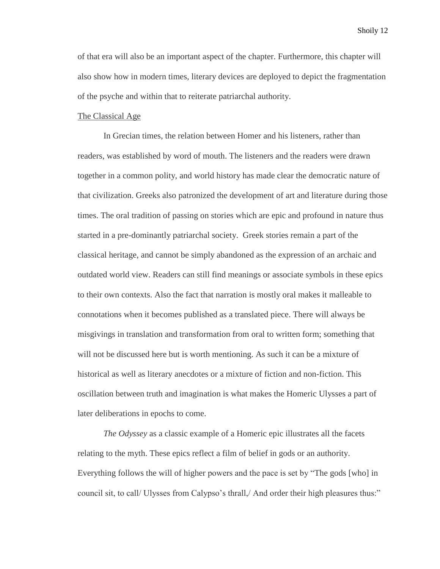of that era will also be an important aspect of the chapter. Furthermore, this chapter will also show how in modern times, literary devices are deployed to depict the fragmentation of the psyche and within that to reiterate patriarchal authority.

### The Classical Age

In Grecian times, the relation between Homer and his listeners, rather than readers, was established by word of mouth. The listeners and the readers were drawn together in a common polity, and world history has made clear the democratic nature of that civilization. Greeks also patronized the development of art and literature during those times. The oral tradition of passing on stories which are epic and profound in nature thus started in a pre-dominantly patriarchal society. Greek stories remain a part of the classical heritage, and cannot be simply abandoned as the expression of an archaic and outdated world view. Readers can still find meanings or associate symbols in these epics to their own contexts. Also the fact that narration is mostly oral makes it malleable to connotations when it becomes published as a translated piece. There will always be misgivings in translation and transformation from oral to written form; something that will not be discussed here but is worth mentioning. As such it can be a mixture of historical as well as literary anecdotes or a mixture of fiction and non-fiction. This oscillation between truth and imagination is what makes the Homeric Ulysses a part of later deliberations in epochs to come.

*The Odyssey* as a classic example of a Homeric epic illustrates all the facets relating to the myth. These epics reflect a film of belief in gods or an authority. Everything follows the will of higher powers and the pace is set by "The gods [who] in council sit, to call/ Ulysses from Calypso's thrall,/ And order their high pleasures thus:"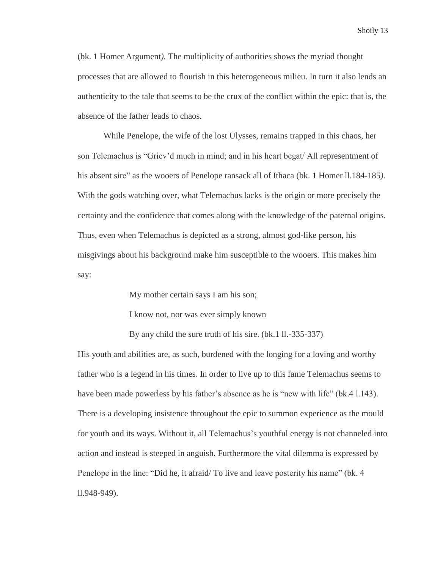(bk. 1 Homer Argument*).* The multiplicity of authorities shows the myriad thought processes that are allowed to flourish in this heterogeneous milieu. In turn it also lends an authenticity to the tale that seems to be the crux of the conflict within the epic: that is, the absence of the father leads to chaos.

While Penelope, the wife of the lost Ulysses, remains trapped in this chaos, her son Telemachus is "Griev'd much in mind; and in his heart begat/ All representment of his absent sire" as the wooers of Penelope ransack all of Ithaca (bk. 1 Homer ll.184-185*)*. With the gods watching over, what Telemachus lacks is the origin or more precisely the certainty and the confidence that comes along with the knowledge of the paternal origins. Thus, even when Telemachus is depicted as a strong, almost god-like person, his misgivings about his background make him susceptible to the wooers. This makes him say:

My mother certain says I am his son;

I know not, nor was ever simply known

By any child the sure truth of his sire. (bk.1 ll.-335-337)

His youth and abilities are, as such, burdened with the longing for a loving and worthy father who is a legend in his times. In order to live up to this fame Telemachus seems to have been made powerless by his father's absence as he is "new with life" (bk.4 l.143). There is a developing insistence throughout the epic to summon experience as the mould for youth and its ways. Without it, all Telemachus's youthful energy is not channeled into action and instead is steeped in anguish. Furthermore the vital dilemma is expressed by Penelope in the line: "Did he, it afraid/ To live and leave posterity his name" (bk. 4 ll.948-949).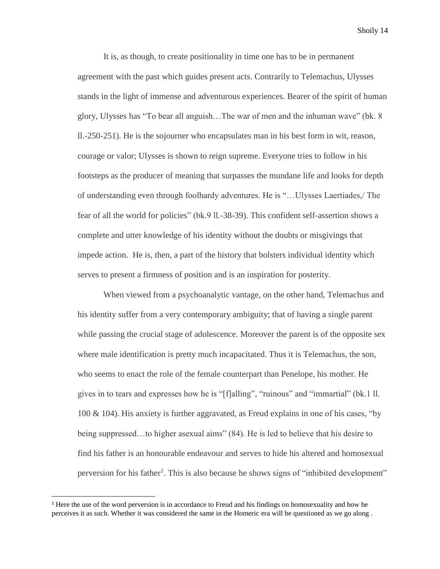It is, as though, to create positionality in time one has to be in permanent agreement with the past which guides present acts. Contrarily to Telemachus, Ulysses stands in the light of immense and adventurous experiences. Bearer of the spirit of human glory, Ulysses has "To bear all anguish…The war of men and the inhuman wave" (bk. 8 ll.-250-251). He is the sojourner who encapsulates man in his best form in wit, reason, courage or valor; Ulysses is shown to reign supreme. Everyone tries to follow in his footsteps as the producer of meaning that surpasses the mundane life and looks for depth of understanding even through foolhardy adventures. He is "…Ulysses Laertiades,/ The fear of all the world for policies" (bk.9 ll.-38-39). This confident self-assertion shows a complete and utter knowledge of his identity without the doubts or misgivings that impede action. He is, then, a part of the history that bolsters individual identity which serves to present a firmness of position and is an inspiration for posterity.

When viewed from a psychoanalytic vantage, on the other hand, Telemachus and his identity suffer from a very contemporary ambiguity; that of having a single parent while passing the crucial stage of adolescence. Moreover the parent is of the opposite sex where male identification is pretty much incapacitated. Thus it is Telemachus, the son, who seems to enact the role of the female counterpart than Penelope, his mother. He gives in to tears and expresses how he is "[f]alling", "ruinous" and "immartial" (bk.1 ll. 100 & 104). His anxiety is further aggravated, as Freud explains in one of his cases, "by being suppressed…to higher asexual aims" (84). He is led to believe that his desire to find his father is an honourable endeavour and serves to hide his altered and homosexual perversion for his father<sup>1</sup>. This is also because he shows signs of "inhibited development"

l

<sup>&</sup>lt;sup>1</sup> Here the use of the word perversion is in accordance to Freud and his findings on homosexuality and how he perceives it as such. Whether it was considered the same in the Homeric era will be questioned as we go along .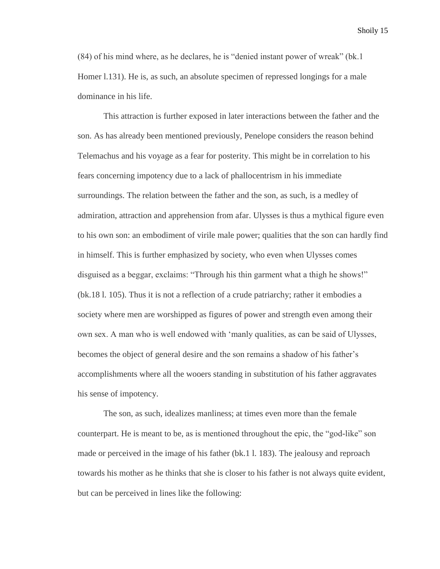(84) of his mind where, as he declares, he is "denied instant power of wreak" (bk.1 Homer l.131). He is, as such, an absolute specimen of repressed longings for a male dominance in his life.

This attraction is further exposed in later interactions between the father and the son. As has already been mentioned previously, Penelope considers the reason behind Telemachus and his voyage as a fear for posterity. This might be in correlation to his fears concerning impotency due to a lack of phallocentrism in his immediate surroundings. The relation between the father and the son, as such, is a medley of admiration, attraction and apprehension from afar. Ulysses is thus a mythical figure even to his own son: an embodiment of virile male power; qualities that the son can hardly find in himself. This is further emphasized by society, who even when Ulysses comes disguised as a beggar, exclaims: "Through his thin garment what a thigh he shows!" (bk.18 l. 105). Thus it is not a reflection of a crude patriarchy; rather it embodies a society where men are worshipped as figures of power and strength even among their own sex. A man who is well endowed with 'manly qualities, as can be said of Ulysses, becomes the object of general desire and the son remains a shadow of his father's accomplishments where all the wooers standing in substitution of his father aggravates his sense of impotency.

The son, as such, idealizes manliness; at times even more than the female counterpart. He is meant to be, as is mentioned throughout the epic, the "god-like" son made or perceived in the image of his father (bk.1 l. 183). The jealousy and reproach towards his mother as he thinks that she is closer to his father is not always quite evident, but can be perceived in lines like the following: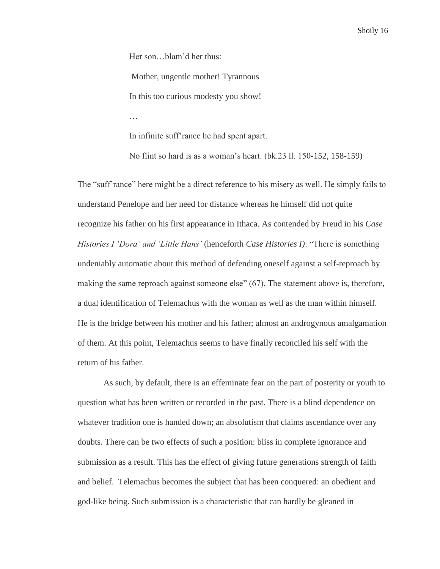Her son…blam'd her thus:

Mother, ungentle mother! Tyrannous

In this too curious modesty you show!

…

In infinite suff'rance he had spent apart.

No flint so hard is as a woman's heart. (bk.23 ll. 150-152, 158-159)

The "suff'rance" here might be a direct reference to his misery as well. He simply fails to understand Penelope and her need for distance whereas he himself did not quite recognize his father on his first appearance in Ithaca. As contended by Freud in his *Case Histories I 'Dora' and 'Little Hans'* (henceforth *Case Histories I)*: "There is something undeniably automatic about this method of defending oneself against a self-reproach by making the same reproach against someone else" (67). The statement above is, therefore, a dual identification of Telemachus with the woman as well as the man within himself. He is the bridge between his mother and his father; almost an androgynous amalgamation of them. At this point, Telemachus seems to have finally reconciled his self with the return of his father.

As such, by default, there is an effeminate fear on the part of posterity or youth to question what has been written or recorded in the past. There is a blind dependence on whatever tradition one is handed down; an absolutism that claims ascendance over any doubts. There can be two effects of such a position: bliss in complete ignorance and submission as a result. This has the effect of giving future generations strength of faith and belief. Telemachus becomes the subject that has been conquered: an obedient and god-like being. Such submission is a characteristic that can hardly be gleaned in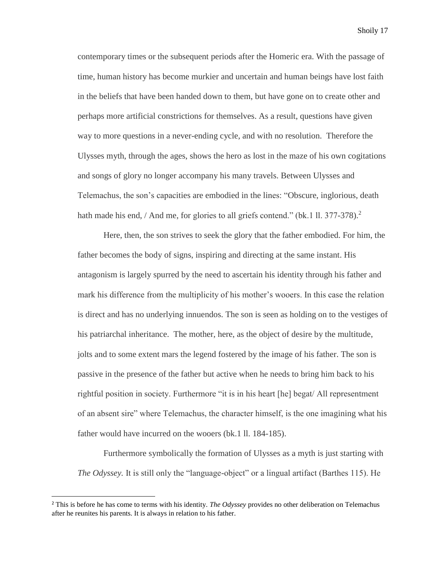contemporary times or the subsequent periods after the Homeric era. With the passage of time, human history has become murkier and uncertain and human beings have lost faith in the beliefs that have been handed down to them, but have gone on to create other and perhaps more artificial constrictions for themselves. As a result, questions have given way to more questions in a never-ending cycle, and with no resolution. Therefore the Ulysses myth, through the ages, shows the hero as lost in the maze of his own cogitations and songs of glory no longer accompany his many travels. Between Ulysses and Telemachus, the son's capacities are embodied in the lines: "Obscure, inglorious, death hath made his end, / And me, for glories to all griefs contend." (bk. 1 ll. 377-378).<sup>2</sup>

Here, then, the son strives to seek the glory that the father embodied. For him, the father becomes the body of signs, inspiring and directing at the same instant. His antagonism is largely spurred by the need to ascertain his identity through his father and mark his difference from the multiplicity of his mother's wooers. In this case the relation is direct and has no underlying innuendos. The son is seen as holding on to the vestiges of his patriarchal inheritance. The mother, here, as the object of desire by the multitude, jolts and to some extent mars the legend fostered by the image of his father. The son is passive in the presence of the father but active when he needs to bring him back to his rightful position in society. Furthermore "it is in his heart [he] begat/ All representment of an absent sire" where Telemachus, the character himself, is the one imagining what his father would have incurred on the wooers (bk.1 ll. 184-185).

Furthermore symbolically the formation of Ulysses as a myth is just starting with *The Odyssey.* It is still only the "language-object" or a lingual artifact (Barthes 115). He

l

<sup>2</sup> This is before he has come to terms with his identity. *The Odyssey* provides no other deliberation on Telemachus after he reunites his parents. It is always in relation to his father.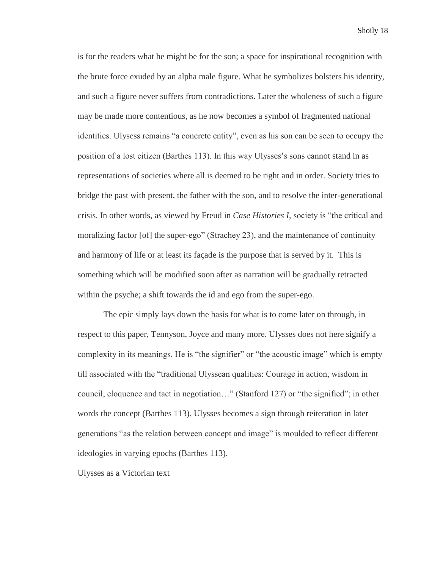is for the readers what he might be for the son; a space for inspirational recognition with the brute force exuded by an alpha male figure. What he symbolizes bolsters his identity, and such a figure never suffers from contradictions. Later the wholeness of such a figure may be made more contentious, as he now becomes a symbol of fragmented national identities. Ulysess remains "a concrete entity", even as his son can be seen to occupy the position of a lost citizen (Barthes 113). In this way Ulysses's sons cannot stand in as representations of societies where all is deemed to be right and in order. Society tries to bridge the past with present, the father with the son, and to resolve the inter-generational crisis. In other words, as viewed by Freud in *Case Histories I*, society is "the critical and moralizing factor [of] the super-ego" (Strachey 23), and the maintenance of continuity and harmony of life or at least its façade is the purpose that is served by it. This is something which will be modified soon after as narration will be gradually retracted within the psyche; a shift towards the id and ego from the super-ego.

The epic simply lays down the basis for what is to come later on through, in respect to this paper, Tennyson, Joyce and many more. Ulysses does not here signify a complexity in its meanings. He is "the signifier" or "the acoustic image" which is empty till associated with the "traditional Ulyssean qualities: Courage in action, wisdom in council, eloquence and tact in negotiation…" (Stanford 127) or "the signified"; in other words the concept (Barthes 113). Ulysses becomes a sign through reiteration in later generations "as the relation between concept and image" is moulded to reflect different ideologies in varying epochs (Barthes 113).

Ulysses as a Victorian text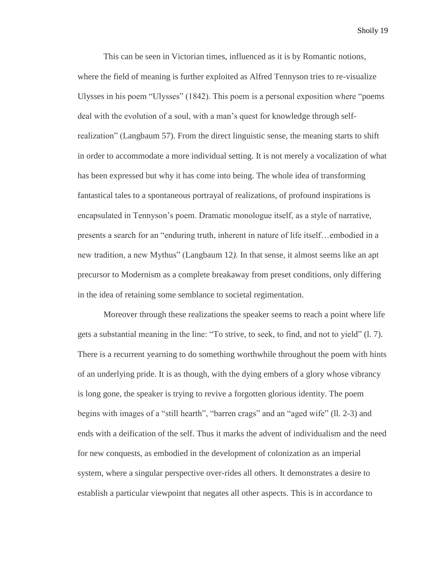This can be seen in Victorian times, influenced as it is by Romantic notions, where the field of meaning is further exploited as Alfred Tennyson tries to re-visualize Ulysses in his poem "Ulysses" (1842). This poem is a personal exposition where "poems deal with the evolution of a soul, with a man's quest for knowledge through selfrealization" (Langbaum 57). From the direct linguistic sense, the meaning starts to shift in order to accommodate a more individual setting. It is not merely a vocalization of what has been expressed but why it has come into being. The whole idea of transforming fantastical tales to a spontaneous portrayal of realizations, of profound inspirations is encapsulated in Tennyson's poem. Dramatic monologue itself, as a style of narrative, presents a search for an "enduring truth, inherent in nature of life itself…embodied in a new tradition, a new Mythus" (Langbaum 12*).* In that sense, it almost seems like an apt precursor to Modernism as a complete breakaway from preset conditions, only differing in the idea of retaining some semblance to societal regimentation.

Moreover through these realizations the speaker seems to reach a point where life gets a substantial meaning in the line: "To strive, to seek, to find, and not to yield" (l. 7). There is a recurrent yearning to do something worthwhile throughout the poem with hints of an underlying pride. It is as though, with the dying embers of a glory whose vibrancy is long gone, the speaker is trying to revive a forgotten glorious identity. The poem begins with images of a "still hearth", "barren crags" and an "aged wife" (ll. 2-3) and ends with a deification of the self. Thus it marks the advent of individualism and the need for new conquests, as embodied in the development of colonization as an imperial system, where a singular perspective over-rides all others. It demonstrates a desire to establish a particular viewpoint that negates all other aspects. This is in accordance to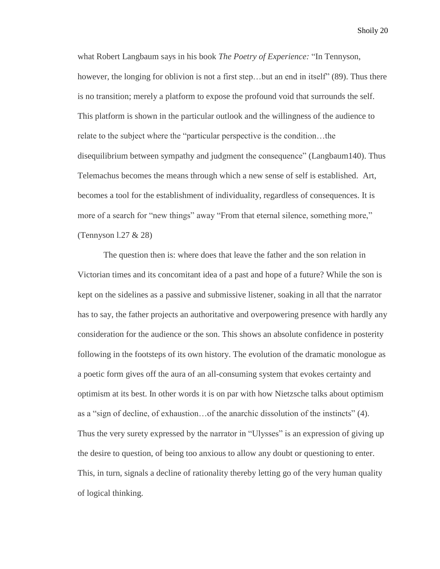what Robert Langbaum says in his book *The Poetry of Experience:* "In Tennyson, however, the longing for oblivion is not a first step...but an end in itself" (89). Thus there is no transition; merely a platform to expose the profound void that surrounds the self. This platform is shown in the particular outlook and the willingness of the audience to relate to the subject where the "particular perspective is the condition…the disequilibrium between sympathy and judgment the consequence" (Langbaum140). Thus Telemachus becomes the means through which a new sense of self is established. Art, becomes a tool for the establishment of individuality, regardless of consequences. It is more of a search for "new things" away "From that eternal silence, something more," (Tennyson l.27 & 28)

The question then is: where does that leave the father and the son relation in Victorian times and its concomitant idea of a past and hope of a future? While the son is kept on the sidelines as a passive and submissive listener, soaking in all that the narrator has to say, the father projects an authoritative and overpowering presence with hardly any consideration for the audience or the son. This shows an absolute confidence in posterity following in the footsteps of its own history. The evolution of the dramatic monologue as a poetic form gives off the aura of an all-consuming system that evokes certainty and optimism at its best. In other words it is on par with how Nietzsche talks about optimism as a "sign of decline, of exhaustion…of the anarchic dissolution of the instincts" (4). Thus the very surety expressed by the narrator in "Ulysses" is an expression of giving up the desire to question, of being too anxious to allow any doubt or questioning to enter. This, in turn, signals a decline of rationality thereby letting go of the very human quality of logical thinking.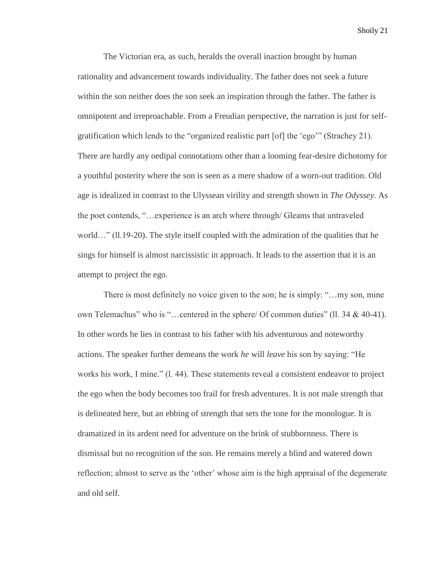The Victorian era, as such, heralds the overall inaction brought by human rationality and advancement towards individuality. The father does not seek a future within the son neither does the son seek an inspiration through the father. The father is omnipotent and irreproachable. From a Freudian perspective, the narration is just for selfgratification which lends to the "organized realistic part [of] the 'ego'" (Strachey 21). There are hardly any oedipal connotations other than a looming fear-desire dichotomy for a youthful posterity where the son is seen as a mere shadow of a worn-out tradition. Old age is idealized in contrast to the Ulyssean virility and strength shown in *The Odyssey.* As the poet contends, "…experience is an arch where through/ Gleams that untraveled world…" (ll.19-20). The style itself coupled with the admiration of the qualities that he sings for himself is almost narcissistic in approach. It leads to the assertion that it is an attempt to project the ego.

There is most definitely no voice given to the son; he is simply: "…my son, mine own Telemachus" who is "…centered in the sphere/ Of common duties" (ll. 34 & 40-41). In other words he lies in contrast to his father with his adventurous and noteworthy actions. The speaker further demeans the work *he* will *leave* his son by saying: "He works his work, I mine." (l. 44). These statements reveal a consistent endeavor to project the ego when the body becomes too frail for fresh adventures. It is not male strength that is delineated here, but an ebbing of strength that sets the tone for the monologue. It is dramatized in its ardent need for adventure on the brink of stubbornness. There is dismissal but no recognition of the son. He remains merely a blind and watered down reflection; almost to serve as the 'other' whose aim is the high appraisal of the degenerate and old self.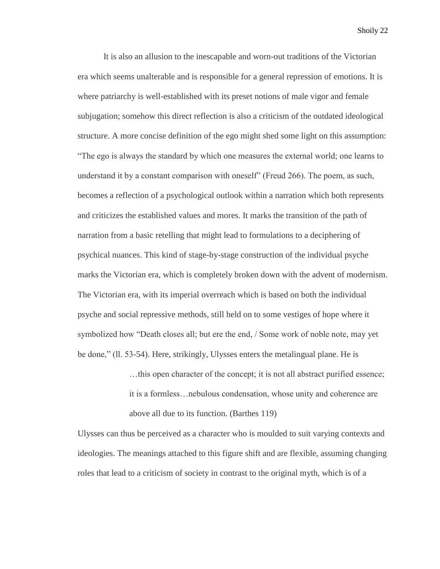It is also an allusion to the inescapable and worn-out traditions of the Victorian era which seems unalterable and is responsible for a general repression of emotions. It is where patriarchy is well-established with its preset notions of male vigor and female subjugation; somehow this direct reflection is also a criticism of the outdated ideological structure. A more concise definition of the ego might shed some light on this assumption: "The ego is always the standard by which one measures the external world; one learns to understand it by a constant comparison with oneself" (Freud 266). The poem, as such, becomes a reflection of a psychological outlook within a narration which both represents and criticizes the established values and mores. It marks the transition of the path of narration from a basic retelling that might lead to formulations to a deciphering of psychical nuances. This kind of stage-by-stage construction of the individual psyche marks the Victorian era, which is completely broken down with the advent of modernism. The Victorian era, with its imperial overreach which is based on both the individual psyche and social repressive methods, still held on to some vestiges of hope where it symbolized how "Death closes all; but ere the end, / Some work of noble note, may yet be done," (ll. 53-54). Here, strikingly, Ulysses enters the metalingual plane. He is

> …this open character of the concept; it is not all abstract purified essence; it is a formless…nebulous condensation, whose unity and coherence are above all due to its function. (Barthes 119)

Ulysses can thus be perceived as a character who is moulded to suit varying contexts and ideologies. The meanings attached to this figure shift and are flexible, assuming changing roles that lead to a criticism of society in contrast to the original myth, which is of a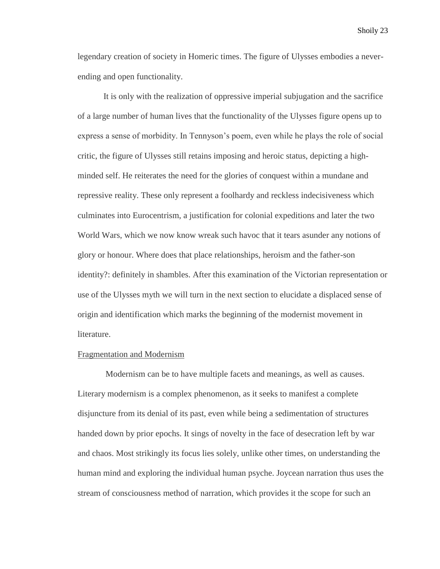legendary creation of society in Homeric times. The figure of Ulysses embodies a neverending and open functionality.

It is only with the realization of oppressive imperial subjugation and the sacrifice of a large number of human lives that the functionality of the Ulysses figure opens up to express a sense of morbidity. In Tennyson's poem, even while he plays the role of social critic, the figure of Ulysses still retains imposing and heroic status, depicting a highminded self. He reiterates the need for the glories of conquest within a mundane and repressive reality. These only represent a foolhardy and reckless indecisiveness which culminates into Eurocentrism, a justification for colonial expeditions and later the two World Wars, which we now know wreak such havoc that it tears asunder any notions of glory or honour. Where does that place relationships, heroism and the father-son identity?: definitely in shambles. After this examination of the Victorian representation or use of the Ulysses myth we will turn in the next section to elucidate a displaced sense of origin and identification which marks the beginning of the modernist movement in literature.

# Fragmentation and Modernism

Modernism can be to have multiple facets and meanings, as well as causes. Literary modernism is a complex phenomenon, as it seeks to manifest a complete disjuncture from its denial of its past, even while being a sedimentation of structures handed down by prior epochs. It sings of novelty in the face of desecration left by war and chaos. Most strikingly its focus lies solely, unlike other times, on understanding the human mind and exploring the individual human psyche. Joycean narration thus uses the stream of consciousness method of narration, which provides it the scope for such an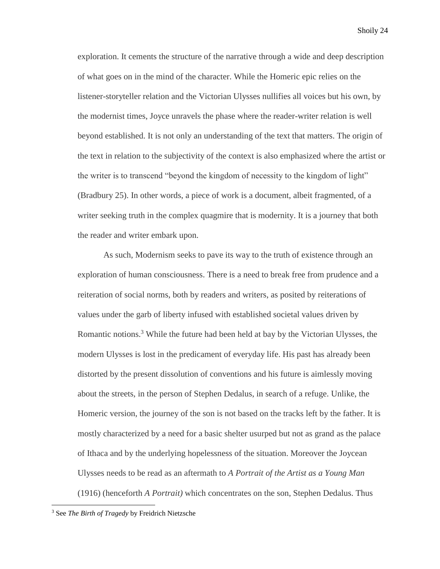exploration. It cements the structure of the narrative through a wide and deep description of what goes on in the mind of the character. While the Homeric epic relies on the listener-storyteller relation and the Victorian Ulysses nullifies all voices but his own, by the modernist times, Joyce unravels the phase where the reader-writer relation is well beyond established. It is not only an understanding of the text that matters. The origin of the text in relation to the subjectivity of the context is also emphasized where the artist or the writer is to transcend "beyond the kingdom of necessity to the kingdom of light" (Bradbury 25). In other words, a piece of work is a document, albeit fragmented, of a writer seeking truth in the complex quagmire that is modernity. It is a journey that both the reader and writer embark upon.

As such, Modernism seeks to pave its way to the truth of existence through an exploration of human consciousness. There is a need to break free from prudence and a reiteration of social norms, both by readers and writers, as posited by reiterations of values under the garb of liberty infused with established societal values driven by Romantic notions.<sup>3</sup> While the future had been held at bay by the Victorian Ulysses, the modern Ulysses is lost in the predicament of everyday life. His past has already been distorted by the present dissolution of conventions and his future is aimlessly moving about the streets, in the person of Stephen Dedalus, in search of a refuge. Unlike, the Homeric version, the journey of the son is not based on the tracks left by the father. It is mostly characterized by a need for a basic shelter usurped but not as grand as the palace of Ithaca and by the underlying hopelessness of the situation. Moreover the Joycean Ulysses needs to be read as an aftermath to *A Portrait of the Artist as a Young Man* (1916) (henceforth *A Portrait)* which concentrates on the son, Stephen Dedalus. Thus

 $\overline{\phantom{a}}$ 

<sup>3</sup> See *The Birth of Tragedy* by Freidrich Nietzsche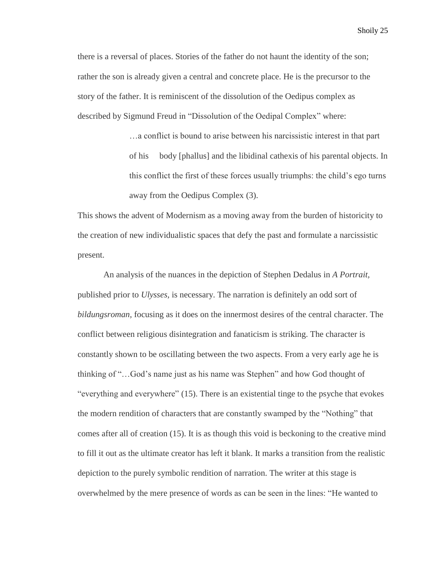there is a reversal of places. Stories of the father do not haunt the identity of the son; rather the son is already given a central and concrete place. He is the precursor to the story of the father. It is reminiscent of the dissolution of the Oedipus complex as described by Sigmund Freud in "Dissolution of the Oedipal Complex" where:

> …a conflict is bound to arise between his narcissistic interest in that part of his body [phallus] and the libidinal cathexis of his parental objects. In this conflict the first of these forces usually triumphs: the child's ego turns away from the Oedipus Complex (3).

This shows the advent of Modernism as a moving away from the burden of historicity to the creation of new individualistic spaces that defy the past and formulate a narcissistic present.

An analysis of the nuances in the depiction of Stephen Dedalus in *A Portrait,*  published prior to *Ulysses,* is necessary. The narration is definitely an odd sort of *bildungsroman,* focusing as it does on the innermost desires of the central character. The conflict between religious disintegration and fanaticism is striking. The character is constantly shown to be oscillating between the two aspects. From a very early age he is thinking of "…God's name just as his name was Stephen" and how God thought of "everything and everywhere" (15). There is an existential tinge to the psyche that evokes the modern rendition of characters that are constantly swamped by the "Nothing" that comes after all of creation (15). It is as though this void is beckoning to the creative mind to fill it out as the ultimate creator has left it blank. It marks a transition from the realistic depiction to the purely symbolic rendition of narration. The writer at this stage is overwhelmed by the mere presence of words as can be seen in the lines: "He wanted to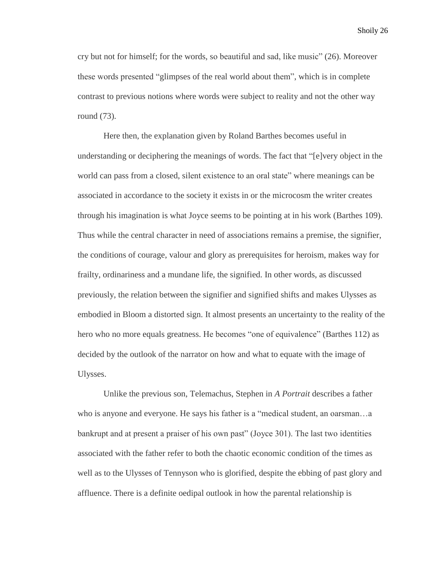cry but not for himself; for the words, so beautiful and sad, like music" (26). Moreover these words presented "glimpses of the real world about them", which is in complete contrast to previous notions where words were subject to reality and not the other way round (73).

Here then, the explanation given by Roland Barthes becomes useful in understanding or deciphering the meanings of words. The fact that "[e]very object in the world can pass from a closed, silent existence to an oral state" where meanings can be associated in accordance to the society it exists in or the microcosm the writer creates through his imagination is what Joyce seems to be pointing at in his work (Barthes 109). Thus while the central character in need of associations remains a premise, the signifier, the conditions of courage, valour and glory as prerequisites for heroism, makes way for frailty, ordinariness and a mundane life, the signified. In other words, as discussed previously, the relation between the signifier and signified shifts and makes Ulysses as embodied in Bloom a distorted sign. It almost presents an uncertainty to the reality of the hero who no more equals greatness. He becomes "one of equivalence" (Barthes 112) as decided by the outlook of the narrator on how and what to equate with the image of Ulysses.

Unlike the previous son, Telemachus, Stephen in *A Portrait* describes a father who is anyone and everyone. He says his father is a "medical student, an oarsman…a bankrupt and at present a praiser of his own past" (Joyce 301). The last two identities associated with the father refer to both the chaotic economic condition of the times as well as to the Ulysses of Tennyson who is glorified, despite the ebbing of past glory and affluence. There is a definite oedipal outlook in how the parental relationship is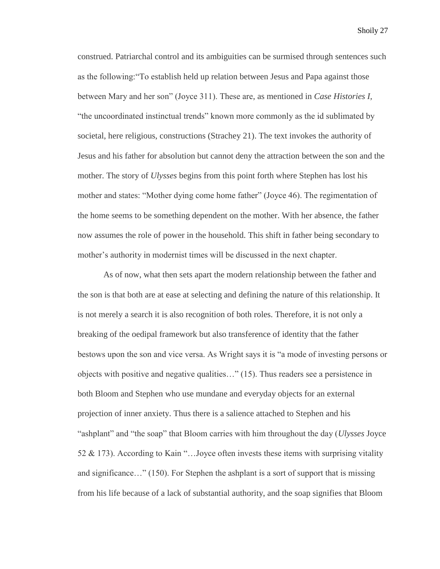construed. Patriarchal control and its ambiguities can be surmised through sentences such as the following:"To establish held up relation between Jesus and Papa against those between Mary and her son" (Joyce 311). These are, as mentioned in *Case Histories I,* "the uncoordinated instinctual trends" known more commonly as the id sublimated by societal, here religious, constructions (Strachey 21). The text invokes the authority of Jesus and his father for absolution but cannot deny the attraction between the son and the mother. The story of *Ulysses* begins from this point forth where Stephen has lost his mother and states: "Mother dying come home father" (Joyce 46). The regimentation of the home seems to be something dependent on the mother. With her absence, the father now assumes the role of power in the household. This shift in father being secondary to mother's authority in modernist times will be discussed in the next chapter.

As of now, what then sets apart the modern relationship between the father and the son is that both are at ease at selecting and defining the nature of this relationship. It is not merely a search it is also recognition of both roles. Therefore, it is not only a breaking of the oedipal framework but also transference of identity that the father bestows upon the son and vice versa. As Wright says it is "a mode of investing persons or objects with positive and negative qualities…" (15). Thus readers see a persistence in both Bloom and Stephen who use mundane and everyday objects for an external projection of inner anxiety. Thus there is a salience attached to Stephen and his "ashplant" and "the soap" that Bloom carries with him throughout the day (*Ulysses* Joyce 52 & 173). According to Kain "…Joyce often invests these items with surprising vitality and significance…" (150). For Stephen the ashplant is a sort of support that is missing from his life because of a lack of substantial authority, and the soap signifies that Bloom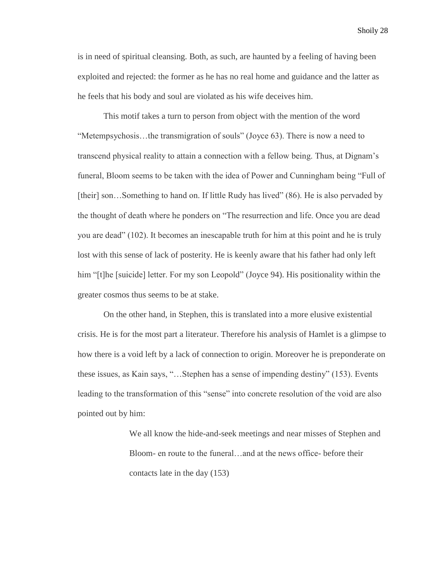is in need of spiritual cleansing. Both, as such, are haunted by a feeling of having been exploited and rejected: the former as he has no real home and guidance and the latter as he feels that his body and soul are violated as his wife deceives him.

This motif takes a turn to person from object with the mention of the word "Metempsychosis…the transmigration of souls" (Joyce 63). There is now a need to transcend physical reality to attain a connection with a fellow being. Thus, at Dignam's funeral, Bloom seems to be taken with the idea of Power and Cunningham being "Full of [their] son…Something to hand on. If little Rudy has lived" (86). He is also pervaded by the thought of death where he ponders on "The resurrection and life. Once you are dead you are dead" (102). It becomes an inescapable truth for him at this point and he is truly lost with this sense of lack of posterity. He is keenly aware that his father had only left him "[t]he [suicide] letter. For my son Leopold" (Joyce 94). His positionality within the greater cosmos thus seems to be at stake.

On the other hand, in Stephen, this is translated into a more elusive existential crisis. He is for the most part a literateur. Therefore his analysis of Hamlet is a glimpse to how there is a void left by a lack of connection to origin. Moreover he is preponderate on these issues, as Kain says, "…Stephen has a sense of impending destiny" (153). Events leading to the transformation of this "sense" into concrete resolution of the void are also pointed out by him:

> We all know the hide-and-seek meetings and near misses of Stephen and Bloom- en route to the funeral…and at the news office- before their contacts late in the day (153)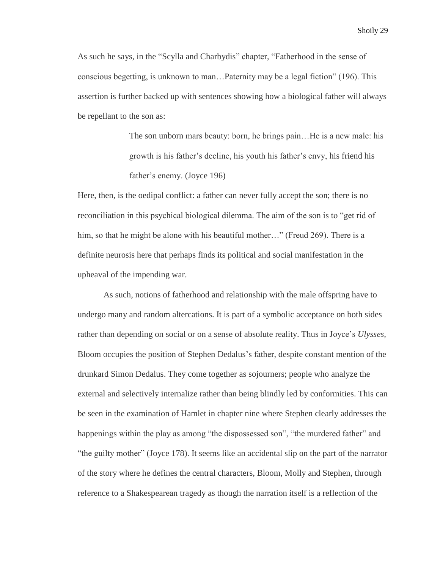As such he says, in the "Scylla and Charbydis" chapter, "Fatherhood in the sense of conscious begetting, is unknown to man…Paternity may be a legal fiction" (196). This assertion is further backed up with sentences showing how a biological father will always be repellant to the son as:

> The son unborn mars beauty: born, he brings pain…He is a new male: his growth is his father's decline, his youth his father's envy, his friend his father's enemy. (Joyce 196)

Here, then, is the oedipal conflict: a father can never fully accept the son; there is no reconciliation in this psychical biological dilemma. The aim of the son is to "get rid of him, so that he might be alone with his beautiful mother…" (Freud 269). There is a definite neurosis here that perhaps finds its political and social manifestation in the upheaval of the impending war.

As such, notions of fatherhood and relationship with the male offspring have to undergo many and random altercations. It is part of a symbolic acceptance on both sides rather than depending on social or on a sense of absolute reality. Thus in Joyce's *Ulysses,*  Bloom occupies the position of Stephen Dedalus's father, despite constant mention of the drunkard Simon Dedalus. They come together as sojourners; people who analyze the external and selectively internalize rather than being blindly led by conformities. This can be seen in the examination of Hamlet in chapter nine where Stephen clearly addresses the happenings within the play as among "the dispossessed son", "the murdered father" and "the guilty mother" (Joyce 178). It seems like an accidental slip on the part of the narrator of the story where he defines the central characters, Bloom, Molly and Stephen, through reference to a Shakespearean tragedy as though the narration itself is a reflection of the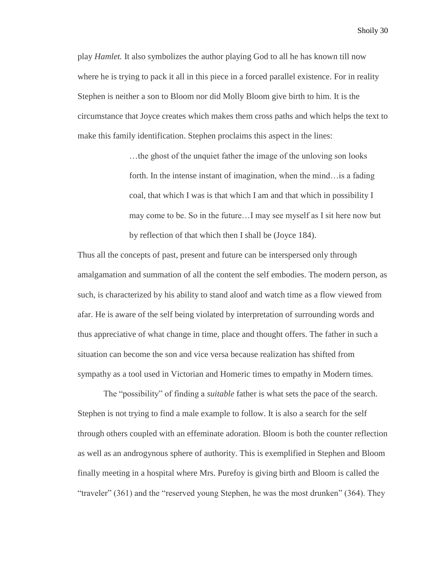play *Hamlet.* It also symbolizes the author playing God to all he has known till now where he is trying to pack it all in this piece in a forced parallel existence. For in reality Stephen is neither a son to Bloom nor did Molly Bloom give birth to him. It is the circumstance that Joyce creates which makes them cross paths and which helps the text to make this family identification. Stephen proclaims this aspect in the lines:

> …the ghost of the unquiet father the image of the unloving son looks forth. In the intense instant of imagination, when the mind…is a fading coal, that which I was is that which I am and that which in possibility I may come to be. So in the future…I may see myself as I sit here now but by reflection of that which then I shall be (Joyce 184).

Thus all the concepts of past, present and future can be interspersed only through amalgamation and summation of all the content the self embodies. The modern person, as such, is characterized by his ability to stand aloof and watch time as a flow viewed from afar. He is aware of the self being violated by interpretation of surrounding words and thus appreciative of what change in time, place and thought offers. The father in such a situation can become the son and vice versa because realization has shifted from sympathy as a tool used in Victorian and Homeric times to empathy in Modern times.

The "possibility" of finding a *suitable* father is what sets the pace of the search. Stephen is not trying to find a male example to follow. It is also a search for the self through others coupled with an effeminate adoration. Bloom is both the counter reflection as well as an androgynous sphere of authority. This is exemplified in Stephen and Bloom finally meeting in a hospital where Mrs. Purefoy is giving birth and Bloom is called the "traveler" (361) and the "reserved young Stephen, he was the most drunken" (364). They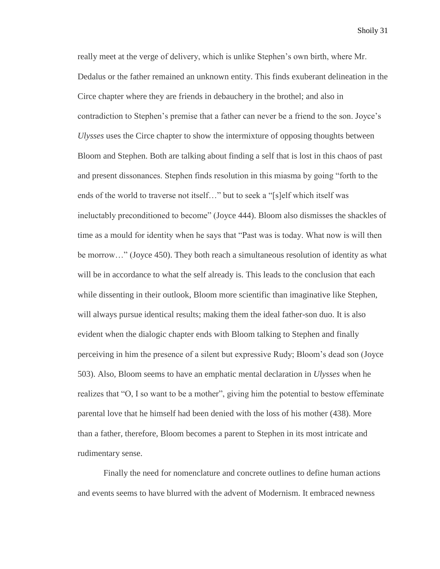really meet at the verge of delivery, which is unlike Stephen's own birth, where Mr. Dedalus or the father remained an unknown entity. This finds exuberant delineation in the Circe chapter where they are friends in debauchery in the brothel; and also in contradiction to Stephen's premise that a father can never be a friend to the son. Joyce's *Ulysses* uses the Circe chapter to show the intermixture of opposing thoughts between Bloom and Stephen. Both are talking about finding a self that is lost in this chaos of past and present dissonances. Stephen finds resolution in this miasma by going "forth to the ends of the world to traverse not itself…" but to seek a "[s]elf which itself was ineluctably preconditioned to become" (Joyce 444). Bloom also dismisses the shackles of time as a mould for identity when he says that "Past was is today. What now is will then be morrow…" (Joyce 450). They both reach a simultaneous resolution of identity as what will be in accordance to what the self already is. This leads to the conclusion that each while dissenting in their outlook, Bloom more scientific than imaginative like Stephen, will always pursue identical results; making them the ideal father-son duo. It is also evident when the dialogic chapter ends with Bloom talking to Stephen and finally perceiving in him the presence of a silent but expressive Rudy; Bloom's dead son (Joyce 503). Also, Bloom seems to have an emphatic mental declaration in *Ulysses* when he realizes that "O, I so want to be a mother", giving him the potential to bestow effeminate parental love that he himself had been denied with the loss of his mother (438). More than a father, therefore, Bloom becomes a parent to Stephen in its most intricate and rudimentary sense.

Finally the need for nomenclature and concrete outlines to define human actions and events seems to have blurred with the advent of Modernism. It embraced newness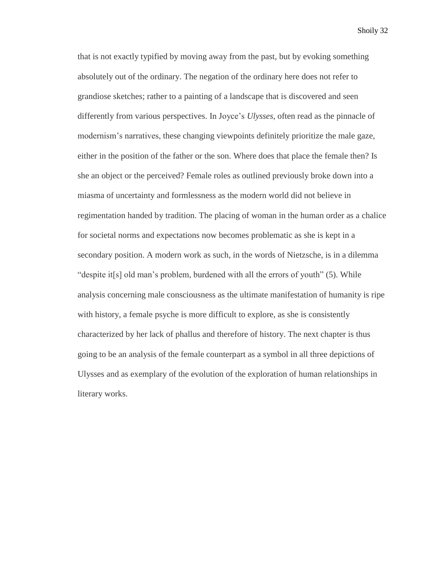that is not exactly typified by moving away from the past, but by evoking something absolutely out of the ordinary. The negation of the ordinary here does not refer to grandiose sketches; rather to a painting of a landscape that is discovered and seen differently from various perspectives. In Joyce's *Ulysses,* often read as the pinnacle of modernism's narratives, these changing viewpoints definitely prioritize the male gaze, either in the position of the father or the son. Where does that place the female then? Is she an object or the perceived? Female roles as outlined previously broke down into a miasma of uncertainty and formlessness as the modern world did not believe in regimentation handed by tradition. The placing of woman in the human order as a chalice for societal norms and expectations now becomes problematic as she is kept in a secondary position. A modern work as such, in the words of Nietzsche, is in a dilemma "despite it[s] old man's problem, burdened with all the errors of youth" (5). While analysis concerning male consciousness as the ultimate manifestation of humanity is ripe with history, a female psyche is more difficult to explore, as she is consistently characterized by her lack of phallus and therefore of history. The next chapter is thus going to be an analysis of the female counterpart as a symbol in all three depictions of Ulysses and as exemplary of the evolution of the exploration of human relationships in literary works.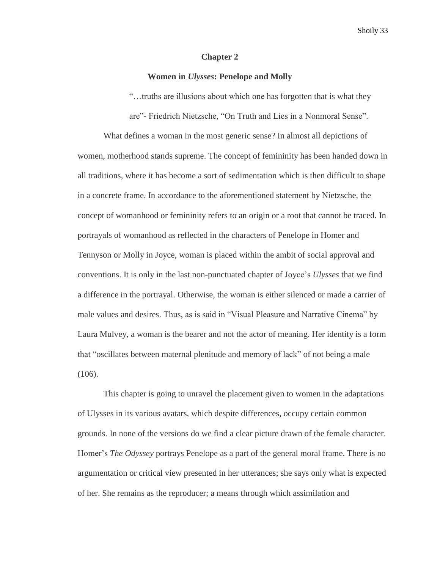### **Chapter 2**

## **Women in** *Ulysses***: Penelope and Molly**

"…truths are illusions about which one has forgotten that is what they

are"- Friedrich Nietzsche, "On Truth and Lies in a Nonmoral Sense".

What defines a woman in the most generic sense? In almost all depictions of women, motherhood stands supreme. The concept of femininity has been handed down in all traditions, where it has become a sort of sedimentation which is then difficult to shape in a concrete frame. In accordance to the aforementioned statement by Nietzsche, the concept of womanhood or femininity refers to an origin or a root that cannot be traced. In portrayals of womanhood as reflected in the characters of Penelope in Homer and Tennyson or Molly in Joyce, woman is placed within the ambit of social approval and conventions. It is only in the last non-punctuated chapter of Joyce's *Ulysses* that we find a difference in the portrayal. Otherwise, the woman is either silenced or made a carrier of male values and desires. Thus, as is said in "Visual Pleasure and Narrative Cinema" by Laura Mulvey, a woman is the bearer and not the actor of meaning. Her identity is a form that "oscillates between maternal plenitude and memory of lack" of not being a male (106).

This chapter is going to unravel the placement given to women in the adaptations of Ulysses in its various avatars, which despite differences, occupy certain common grounds. In none of the versions do we find a clear picture drawn of the female character. Homer's *The Odyssey* portrays Penelope as a part of the general moral frame. There is no argumentation or critical view presented in her utterances; she says only what is expected of her. She remains as the reproducer; a means through which assimilation and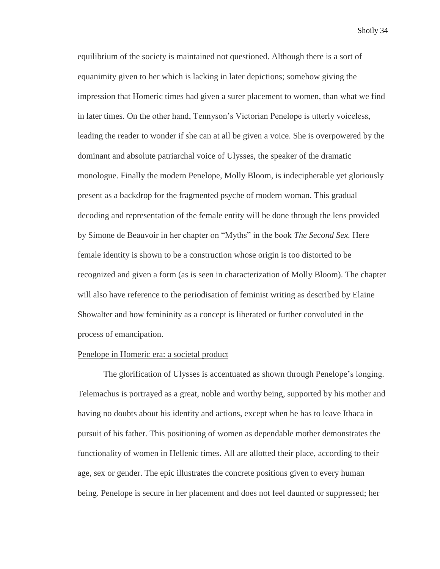equilibrium of the society is maintained not questioned. Although there is a sort of equanimity given to her which is lacking in later depictions; somehow giving the impression that Homeric times had given a surer placement to women, than what we find in later times. On the other hand, Tennyson's Victorian Penelope is utterly voiceless, leading the reader to wonder if she can at all be given a voice. She is overpowered by the dominant and absolute patriarchal voice of Ulysses, the speaker of the dramatic monologue. Finally the modern Penelope, Molly Bloom, is indecipherable yet gloriously present as a backdrop for the fragmented psyche of modern woman. This gradual decoding and representation of the female entity will be done through the lens provided by Simone de Beauvoir in her chapter on "Myths" in the book *The Second Sex.* Here female identity is shown to be a construction whose origin is too distorted to be recognized and given a form (as is seen in characterization of Molly Bloom). The chapter will also have reference to the periodisation of feminist writing as described by Elaine Showalter and how femininity as a concept is liberated or further convoluted in the process of emancipation.

# Penelope in Homeric era: a societal product

The glorification of Ulysses is accentuated as shown through Penelope's longing. Telemachus is portrayed as a great, noble and worthy being, supported by his mother and having no doubts about his identity and actions, except when he has to leave Ithaca in pursuit of his father. This positioning of women as dependable mother demonstrates the functionality of women in Hellenic times. All are allotted their place, according to their age, sex or gender. The epic illustrates the concrete positions given to every human being. Penelope is secure in her placement and does not feel daunted or suppressed; her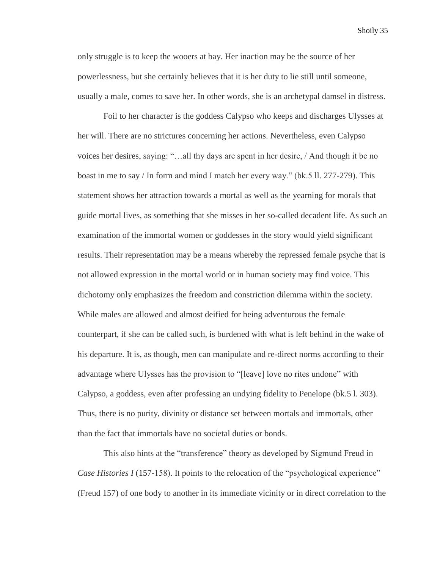only struggle is to keep the wooers at bay. Her inaction may be the source of her powerlessness, but she certainly believes that it is her duty to lie still until someone, usually a male, comes to save her. In other words, she is an archetypal damsel in distress.

Foil to her character is the goddess Calypso who keeps and discharges Ulysses at her will. There are no strictures concerning her actions. Nevertheless, even Calypso voices her desires, saying: "…all thy days are spent in her desire, / And though it be no boast in me to say / In form and mind I match her every way." (bk.5 ll. 277-279). This statement shows her attraction towards a mortal as well as the yearning for morals that guide mortal lives, as something that she misses in her so-called decadent life. As such an examination of the immortal women or goddesses in the story would yield significant results. Their representation may be a means whereby the repressed female psyche that is not allowed expression in the mortal world or in human society may find voice. This dichotomy only emphasizes the freedom and constriction dilemma within the society. While males are allowed and almost deified for being adventurous the female counterpart, if she can be called such, is burdened with what is left behind in the wake of his departure. It is, as though, men can manipulate and re-direct norms according to their advantage where Ulysses has the provision to "[leave] love no rites undone" with Calypso, a goddess, even after professing an undying fidelity to Penelope (bk.5 l. 303). Thus, there is no purity, divinity or distance set between mortals and immortals, other than the fact that immortals have no societal duties or bonds.

This also hints at the "transference" theory as developed by Sigmund Freud in *Case Histories I* (157-158). It points to the relocation of the "psychological experience" (Freud 157) of one body to another in its immediate vicinity or in direct correlation to the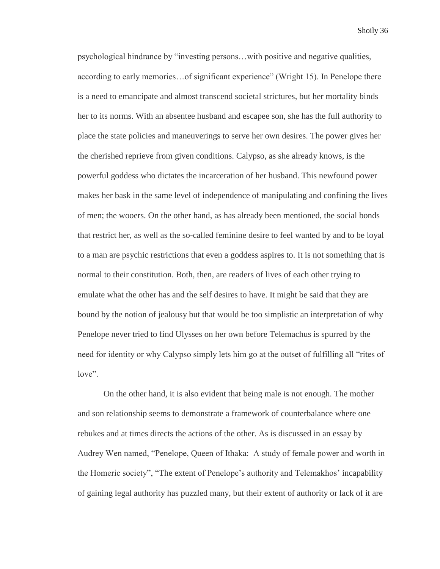psychological hindrance by "investing persons…with positive and negative qualities, according to early memories…of significant experience" (Wright 15). In Penelope there is a need to emancipate and almost transcend societal strictures, but her mortality binds her to its norms. With an absentee husband and escapee son, she has the full authority to place the state policies and maneuverings to serve her own desires. The power gives her the cherished reprieve from given conditions. Calypso, as she already knows, is the powerful goddess who dictates the incarceration of her husband. This newfound power makes her bask in the same level of independence of manipulating and confining the lives of men; the wooers. On the other hand, as has already been mentioned, the social bonds that restrict her, as well as the so-called feminine desire to feel wanted by and to be loyal to a man are psychic restrictions that even a goddess aspires to. It is not something that is normal to their constitution. Both, then, are readers of lives of each other trying to emulate what the other has and the self desires to have. It might be said that they are bound by the notion of jealousy but that would be too simplistic an interpretation of why Penelope never tried to find Ulysses on her own before Telemachus is spurred by the need for identity or why Calypso simply lets him go at the outset of fulfilling all "rites of love".

On the other hand, it is also evident that being male is not enough. The mother and son relationship seems to demonstrate a framework of counterbalance where one rebukes and at times directs the actions of the other. As is discussed in an essay by Audrey Wen named, "Penelope, Queen of Ithaka: A study of female power and worth in the Homeric society", "The extent of Penelope's authority and Telemakhos' incapability of gaining legal authority has puzzled many, but their extent of authority or lack of it are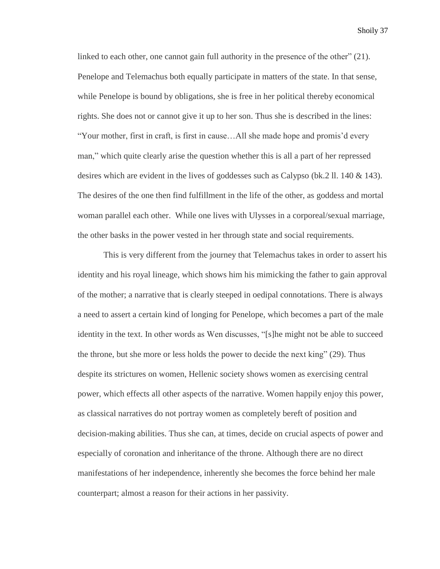linked to each other, one cannot gain full authority in the presence of the other" (21). Penelope and Telemachus both equally participate in matters of the state. In that sense, while Penelope is bound by obligations, she is free in her political thereby economical rights. She does not or cannot give it up to her son. Thus she is described in the lines: "Your mother, first in craft, is first in cause…All she made hope and promis'd every man," which quite clearly arise the question whether this is all a part of her repressed desires which are evident in the lives of goddesses such as Calypso (bk.2 ll.  $140 \& 143$ ). The desires of the one then find fulfillment in the life of the other, as goddess and mortal woman parallel each other. While one lives with Ulysses in a corporeal/sexual marriage, the other basks in the power vested in her through state and social requirements.

This is very different from the journey that Telemachus takes in order to assert his identity and his royal lineage, which shows him his mimicking the father to gain approval of the mother; a narrative that is clearly steeped in oedipal connotations. There is always a need to assert a certain kind of longing for Penelope, which becomes a part of the male identity in the text. In other words as Wen discusses, "[s]he might not be able to succeed the throne, but she more or less holds the power to decide the next king" (29). Thus despite its strictures on women, Hellenic society shows women as exercising central power, which effects all other aspects of the narrative. Women happily enjoy this power, as classical narratives do not portray women as completely bereft of position and decision-making abilities. Thus she can, at times, decide on crucial aspects of power and especially of coronation and inheritance of the throne. Although there are no direct manifestations of her independence, inherently she becomes the force behind her male counterpart; almost a reason for their actions in her passivity.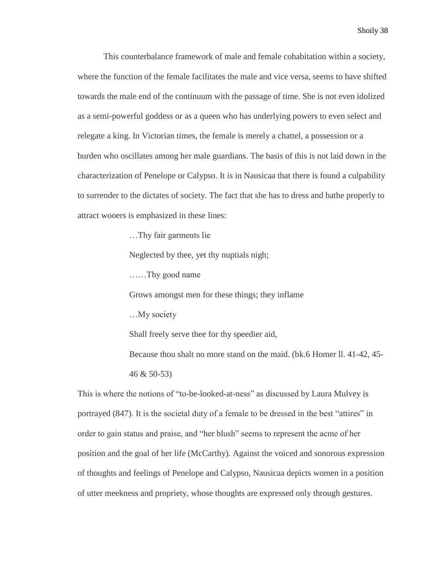This counterbalance framework of male and female cohabitation within a society, where the function of the female facilitates the male and vice versa, seems to have shifted towards the male end of the continuum with the passage of time. She is not even idolized as a semi-powerful goddess or as a queen who has underlying powers to even select and relegate a king. In Victorian times, the female is merely a chattel, a possession or a burden who oscillates among her male guardians. The basis of this is not laid down in the characterization of Penelope or Calypso. It is in Nausicaa that there is found a culpability to surrender to the dictates of society. The fact that she has to dress and bathe properly to attract wooers is emphasized in these lines:

…Thy fair garments lie

Neglected by thee, yet thy nuptials nigh;

……Thy good name

Grows amongst men for these things; they inflame

…My society

Shall freely serve thee for thy speedier aid,

Because thou shalt no more stand on the maid. (bk.6 Homer ll. 41-42, 45- 46 & 50-53)

This is where the notions of "to-be-looked-at-ness" as discussed by Laura Mulvey is portrayed (847). It is the societal duty of a female to be dressed in the best "attires" in order to gain status and praise, and "her blush" seems to represent the acme of her position and the goal of her life (McCarthy). Against the voiced and sonorous expression of thoughts and feelings of Penelope and Calypso, Nausicaa depicts women in a position of utter meekness and propriety, whose thoughts are expressed only through gestures.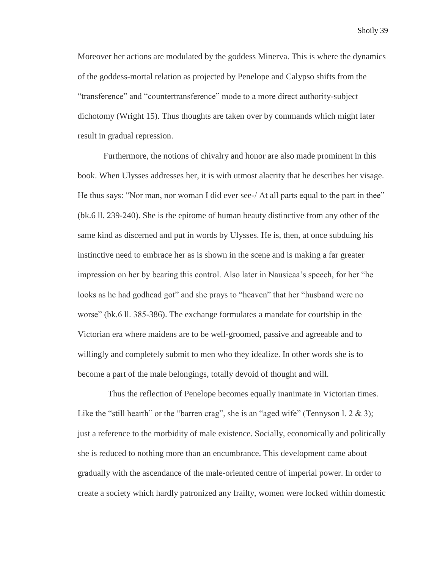Moreover her actions are modulated by the goddess Minerva. This is where the dynamics of the goddess-mortal relation as projected by Penelope and Calypso shifts from the "transference" and "countertransference" mode to a more direct authority-subject dichotomy (Wright 15). Thus thoughts are taken over by commands which might later result in gradual repression.

Furthermore, the notions of chivalry and honor are also made prominent in this book. When Ulysses addresses her, it is with utmost alacrity that he describes her visage. He thus says: "Nor man, nor woman I did ever see-/ At all parts equal to the part in thee" (bk.6 ll. 239-240). She is the epitome of human beauty distinctive from any other of the same kind as discerned and put in words by Ulysses. He is, then, at once subduing his instinctive need to embrace her as is shown in the scene and is making a far greater impression on her by bearing this control. Also later in Nausicaa's speech, for her "he looks as he had godhead got" and she prays to "heaven" that her "husband were no worse" (bk.6 ll. 385-386). The exchange formulates a mandate for courtship in the Victorian era where maidens are to be well-groomed, passive and agreeable and to willingly and completely submit to men who they idealize. In other words she is to become a part of the male belongings, totally devoid of thought and will.

 Thus the reflection of Penelope becomes equally inanimate in Victorian times. Like the "still hearth" or the "barren crag", she is an "aged wife" (Tennyson l.  $2 \& 3$ ); just a reference to the morbidity of male existence. Socially, economically and politically she is reduced to nothing more than an encumbrance. This development came about gradually with the ascendance of the male-oriented centre of imperial power. In order to create a society which hardly patronized any frailty, women were locked within domestic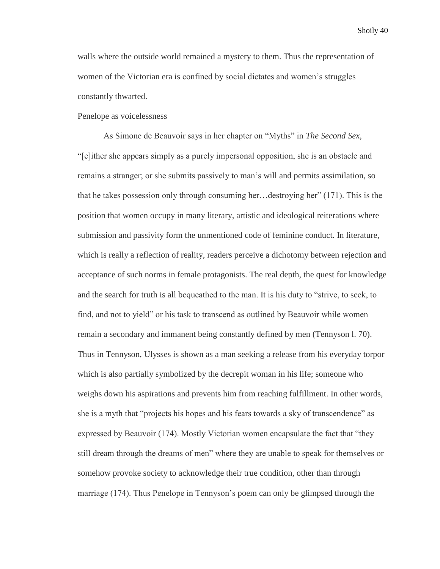walls where the outside world remained a mystery to them. Thus the representation of women of the Victorian era is confined by social dictates and women's struggles constantly thwarted.

# Penelope as voicelessness

As Simone de Beauvoir says in her chapter on "Myths" in *The Second Sex,* "[e]ither she appears simply as a purely impersonal opposition, she is an obstacle and remains a stranger; or she submits passively to man's will and permits assimilation, so that he takes possession only through consuming her…destroying her" (171). This is the position that women occupy in many literary, artistic and ideological reiterations where submission and passivity form the unmentioned code of feminine conduct. In literature, which is really a reflection of reality, readers perceive a dichotomy between rejection and acceptance of such norms in female protagonists. The real depth, the quest for knowledge and the search for truth is all bequeathed to the man. It is his duty to "strive, to seek, to find, and not to yield" or his task to transcend as outlined by Beauvoir while women remain a secondary and immanent being constantly defined by men (Tennyson l. 70). Thus in Tennyson, Ulysses is shown as a man seeking a release from his everyday torpor which is also partially symbolized by the decrepit woman in his life; someone who weighs down his aspirations and prevents him from reaching fulfillment. In other words, she is a myth that "projects his hopes and his fears towards a sky of transcendence" as expressed by Beauvoir (174). Mostly Victorian women encapsulate the fact that "they still dream through the dreams of men" where they are unable to speak for themselves or somehow provoke society to acknowledge their true condition, other than through marriage (174). Thus Penelope in Tennyson's poem can only be glimpsed through the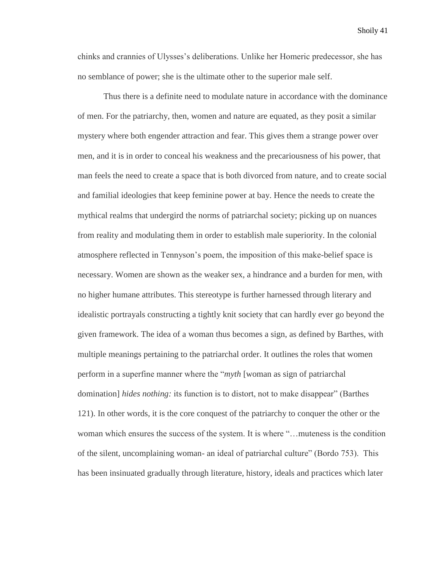chinks and crannies of Ulysses's deliberations. Unlike her Homeric predecessor, she has no semblance of power; she is the ultimate other to the superior male self.

Thus there is a definite need to modulate nature in accordance with the dominance of men. For the patriarchy, then, women and nature are equated, as they posit a similar mystery where both engender attraction and fear. This gives them a strange power over men, and it is in order to conceal his weakness and the precariousness of his power, that man feels the need to create a space that is both divorced from nature, and to create social and familial ideologies that keep feminine power at bay. Hence the needs to create the mythical realms that undergird the norms of patriarchal society; picking up on nuances from reality and modulating them in order to establish male superiority. In the colonial atmosphere reflected in Tennyson's poem, the imposition of this make-belief space is necessary. Women are shown as the weaker sex, a hindrance and a burden for men, with no higher humane attributes. This stereotype is further harnessed through literary and idealistic portrayals constructing a tightly knit society that can hardly ever go beyond the given framework. The idea of a woman thus becomes a sign, as defined by Barthes, with multiple meanings pertaining to the patriarchal order. It outlines the roles that women perform in a superfine manner where the "*myth* [woman as sign of patriarchal domination] *hides nothing:* its function is to distort, not to make disappear" (Barthes 121). In other words, it is the core conquest of the patriarchy to conquer the other or the woman which ensures the success of the system. It is where "…muteness is the condition of the silent, uncomplaining woman- an ideal of patriarchal culture" (Bordo 753). This has been insinuated gradually through literature, history, ideals and practices which later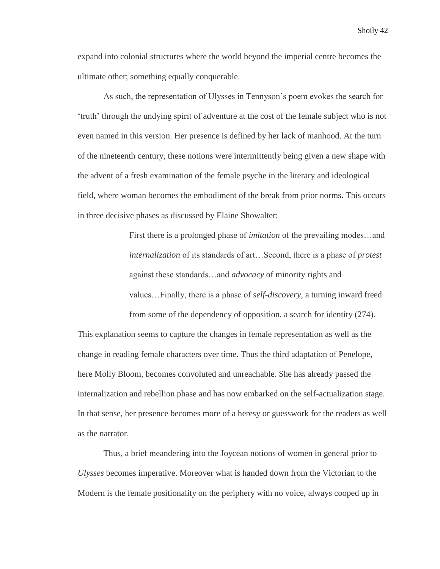expand into colonial structures where the world beyond the imperial centre becomes the ultimate other; something equally conquerable.

As such, the representation of Ulysses in Tennyson's poem evokes the search for 'truth' through the undying spirit of adventure at the cost of the female subject who is not even named in this version. Her presence is defined by her lack of manhood. At the turn of the nineteenth century, these notions were intermittently being given a new shape with the advent of a fresh examination of the female psyche in the literary and ideological field, where woman becomes the embodiment of the break from prior norms. This occurs in three decisive phases as discussed by Elaine Showalter:

> First there is a prolonged phase of *imitation* of the prevailing modes…and *internalization* of its standards of art…Second, there is a phase of *protest* against these standards…and *advocacy* of minority rights and values…Finally, there is a phase of *self-discovery*, a turning inward freed from some of the dependency of opposition, a search for identity (274).

This explanation seems to capture the changes in female representation as well as the change in reading female characters over time. Thus the third adaptation of Penelope, here Molly Bloom, becomes convoluted and unreachable. She has already passed the internalization and rebellion phase and has now embarked on the self-actualization stage. In that sense, her presence becomes more of a heresy or guesswork for the readers as well as the narrator.

Thus, a brief meandering into the Joycean notions of women in general prior to *Ulysses* becomes imperative. Moreover what is handed down from the Victorian to the Modern is the female positionality on the periphery with no voice, always cooped up in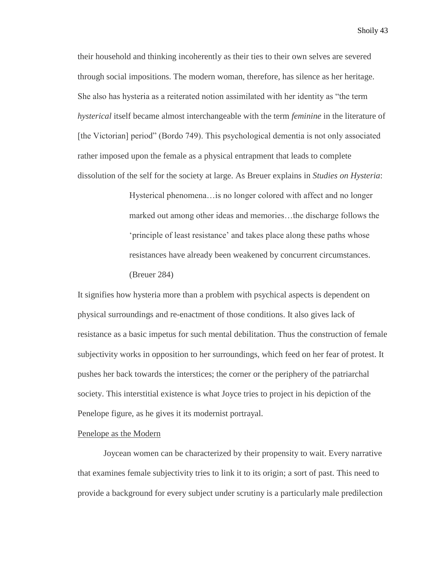their household and thinking incoherently as their ties to their own selves are severed through social impositions. The modern woman, therefore, has silence as her heritage. She also has hysteria as a reiterated notion assimilated with her identity as "the term *hysterical* itself became almost interchangeable with the term *feminine* in the literature of [the Victorian] period" (Bordo 749). This psychological dementia is not only associated rather imposed upon the female as a physical entrapment that leads to complete dissolution of the self for the society at large. As Breuer explains in *Studies on Hysteria*:

> Hysterical phenomena…is no longer colored with affect and no longer marked out among other ideas and memories…the discharge follows the 'principle of least resistance' and takes place along these paths whose resistances have already been weakened by concurrent circumstances. (Breuer 284)

It signifies how hysteria more than a problem with psychical aspects is dependent on physical surroundings and re-enactment of those conditions. It also gives lack of resistance as a basic impetus for such mental debilitation. Thus the construction of female subjectivity works in opposition to her surroundings, which feed on her fear of protest. It pushes her back towards the interstices; the corner or the periphery of the patriarchal society. This interstitial existence is what Joyce tries to project in his depiction of the Penelope figure, as he gives it its modernist portrayal.

# Penelope as the Modern

Joycean women can be characterized by their propensity to wait. Every narrative that examines female subjectivity tries to link it to its origin; a sort of past. This need to provide a background for every subject under scrutiny is a particularly male predilection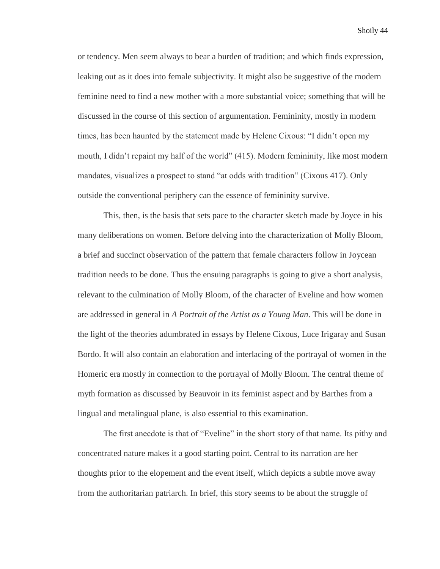or tendency. Men seem always to bear a burden of tradition; and which finds expression, leaking out as it does into female subjectivity. It might also be suggestive of the modern feminine need to find a new mother with a more substantial voice; something that will be discussed in the course of this section of argumentation. Femininity, mostly in modern times, has been haunted by the statement made by Helene Cixous: "I didn't open my mouth, I didn't repaint my half of the world" (415). Modern femininity, like most modern mandates, visualizes a prospect to stand "at odds with tradition" (Cixous 417). Only outside the conventional periphery can the essence of femininity survive.

This, then, is the basis that sets pace to the character sketch made by Joyce in his many deliberations on women. Before delving into the characterization of Molly Bloom, a brief and succinct observation of the pattern that female characters follow in Joycean tradition needs to be done. Thus the ensuing paragraphs is going to give a short analysis, relevant to the culmination of Molly Bloom, of the character of Eveline and how women are addressed in general in *A Portrait of the Artist as a Young Man*. This will be done in the light of the theories adumbrated in essays by Helene Cixous, Luce Irigaray and Susan Bordo. It will also contain an elaboration and interlacing of the portrayal of women in the Homeric era mostly in connection to the portrayal of Molly Bloom. The central theme of myth formation as discussed by Beauvoir in its feminist aspect and by Barthes from a lingual and metalingual plane, is also essential to this examination.

The first anecdote is that of "Eveline" in the short story of that name. Its pithy and concentrated nature makes it a good starting point. Central to its narration are her thoughts prior to the elopement and the event itself, which depicts a subtle move away from the authoritarian patriarch. In brief, this story seems to be about the struggle of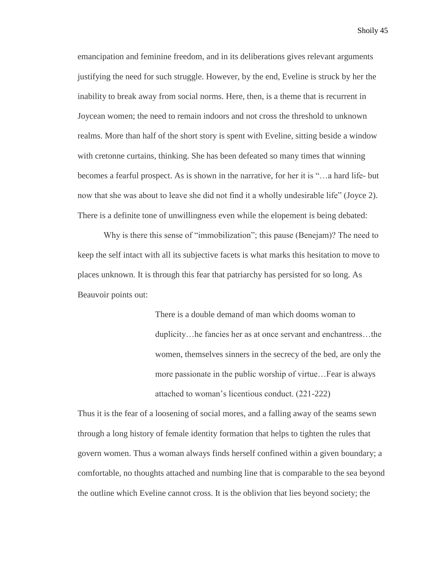emancipation and feminine freedom, and in its deliberations gives relevant arguments justifying the need for such struggle. However, by the end, Eveline is struck by her the inability to break away from social norms. Here, then, is a theme that is recurrent in Joycean women; the need to remain indoors and not cross the threshold to unknown realms. More than half of the short story is spent with Eveline, sitting beside a window with cretonne curtains, thinking. She has been defeated so many times that winning becomes a fearful prospect. As is shown in the narrative, for her it is "…a hard life- but now that she was about to leave she did not find it a wholly undesirable life" (Joyce 2). There is a definite tone of unwillingness even while the elopement is being debated:

Why is there this sense of "immobilization"; this pause (Benejam)? The need to keep the self intact with all its subjective facets is what marks this hesitation to move to places unknown. It is through this fear that patriarchy has persisted for so long. As Beauvoir points out:

> There is a double demand of man which dooms woman to duplicity…he fancies her as at once servant and enchantress…the women, themselves sinners in the secrecy of the bed, are only the more passionate in the public worship of virtue…Fear is always attached to woman's licentious conduct. (221-222)

Thus it is the fear of a loosening of social mores, and a falling away of the seams sewn through a long history of female identity formation that helps to tighten the rules that govern women. Thus a woman always finds herself confined within a given boundary; a comfortable, no thoughts attached and numbing line that is comparable to the sea beyond the outline which Eveline cannot cross. It is the oblivion that lies beyond society; the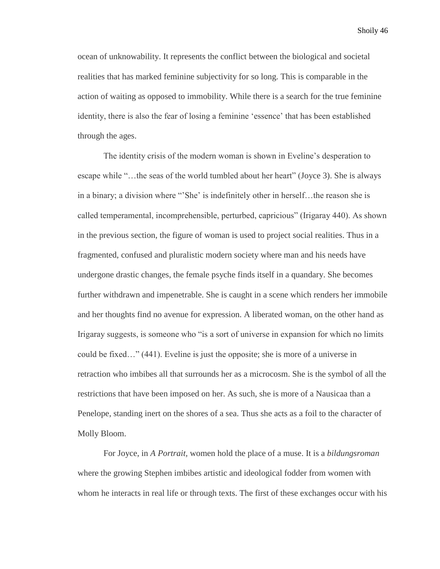ocean of unknowability. It represents the conflict between the biological and societal realities that has marked feminine subjectivity for so long. This is comparable in the action of waiting as opposed to immobility. While there is a search for the true feminine identity, there is also the fear of losing a feminine 'essence' that has been established through the ages.

The identity crisis of the modern woman is shown in Eveline's desperation to escape while "…the seas of the world tumbled about her heart" (Joyce 3). She is always in a binary; a division where "'She' is indefinitely other in herself…the reason she is called temperamental, incomprehensible, perturbed, capricious" (Irigaray 440). As shown in the previous section, the figure of woman is used to project social realities. Thus in a fragmented, confused and pluralistic modern society where man and his needs have undergone drastic changes, the female psyche finds itself in a quandary. She becomes further withdrawn and impenetrable. She is caught in a scene which renders her immobile and her thoughts find no avenue for expression. A liberated woman, on the other hand as Irigaray suggests, is someone who "is a sort of universe in expansion for which no limits could be fixed…" (441). Eveline is just the opposite; she is more of a universe in retraction who imbibes all that surrounds her as a microcosm. She is the symbol of all the restrictions that have been imposed on her. As such, she is more of a Nausicaa than a Penelope, standing inert on the shores of a sea. Thus she acts as a foil to the character of Molly Bloom.

For Joyce, in *A Portrait,* women hold the place of a muse. It is a *bildungsroman* where the growing Stephen imbibes artistic and ideological fodder from women with whom he interacts in real life or through texts. The first of these exchanges occur with his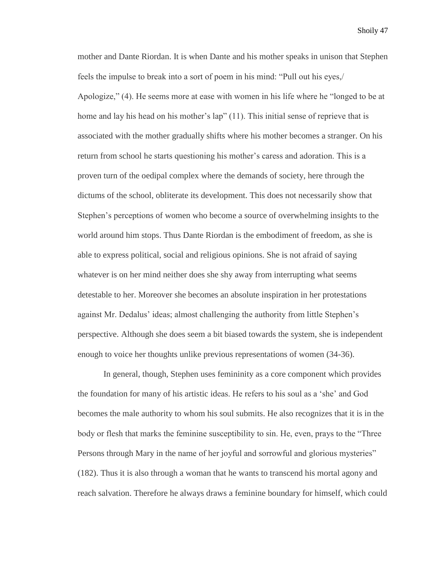mother and Dante Riordan. It is when Dante and his mother speaks in unison that Stephen feels the impulse to break into a sort of poem in his mind: "Pull out his eyes,/ Apologize," (4). He seems more at ease with women in his life where he "longed to be at home and lay his head on his mother's lap" (11). This initial sense of reprieve that is associated with the mother gradually shifts where his mother becomes a stranger. On his return from school he starts questioning his mother's caress and adoration. This is a proven turn of the oedipal complex where the demands of society, here through the dictums of the school, obliterate its development. This does not necessarily show that Stephen's perceptions of women who become a source of overwhelming insights to the world around him stops. Thus Dante Riordan is the embodiment of freedom, as she is able to express political, social and religious opinions. She is not afraid of saying whatever is on her mind neither does she shy away from interrupting what seems detestable to her. Moreover she becomes an absolute inspiration in her protestations against Mr. Dedalus' ideas; almost challenging the authority from little Stephen's perspective. Although she does seem a bit biased towards the system, she is independent enough to voice her thoughts unlike previous representations of women (34-36).

In general, though, Stephen uses femininity as a core component which provides the foundation for many of his artistic ideas. He refers to his soul as a 'she' and God becomes the male authority to whom his soul submits. He also recognizes that it is in the body or flesh that marks the feminine susceptibility to sin. He, even, prays to the "Three Persons through Mary in the name of her joyful and sorrowful and glorious mysteries" (182). Thus it is also through a woman that he wants to transcend his mortal agony and reach salvation. Therefore he always draws a feminine boundary for himself, which could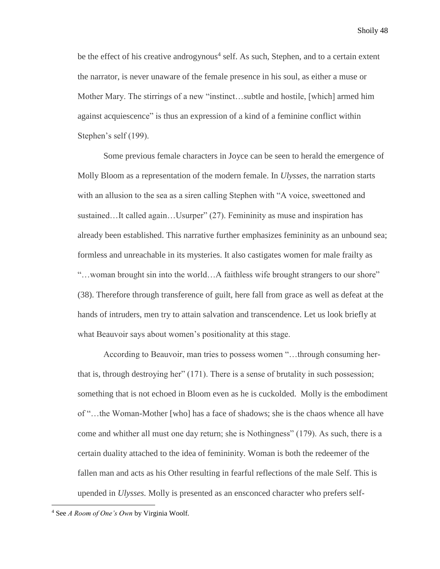be the effect of his creative androgynous<sup>4</sup> self. As such, Stephen, and to a certain extent the narrator, is never unaware of the female presence in his soul, as either a muse or Mother Mary. The stirrings of a new "instinct…subtle and hostile, [which] armed him against acquiescence" is thus an expression of a kind of a feminine conflict within Stephen's self (199).

Some previous female characters in Joyce can be seen to herald the emergence of Molly Bloom as a representation of the modern female. In *Ulysses*, the narration starts with an allusion to the sea as a siren calling Stephen with "A voice, sweettoned and sustained…It called again…Usurper" (27). Femininity as muse and inspiration has already been established. This narrative further emphasizes femininity as an unbound sea; formless and unreachable in its mysteries. It also castigates women for male frailty as "…woman brought sin into the world…A faithless wife brought strangers to our shore" (38). Therefore through transference of guilt, here fall from grace as well as defeat at the hands of intruders, men try to attain salvation and transcendence. Let us look briefly at what Beauvoir says about women's positionality at this stage.

According to Beauvoir, man tries to possess women "…through consuming herthat is, through destroying her" (171). There is a sense of brutality in such possession; something that is not echoed in Bloom even as he is cuckolded. Molly is the embodiment of "…the Woman-Mother [who] has a face of shadows; she is the chaos whence all have come and whither all must one day return; she is Nothingness" (179). As such, there is a certain duality attached to the idea of femininity. Woman is both the redeemer of the fallen man and acts as his Other resulting in fearful reflections of the male Self. This is upended in *Ulysses.* Molly is presented as an ensconced character who prefers self-

 $\overline{\phantom{a}}$ 

<sup>4</sup> See *A Room of One's Own* by Virginia Woolf.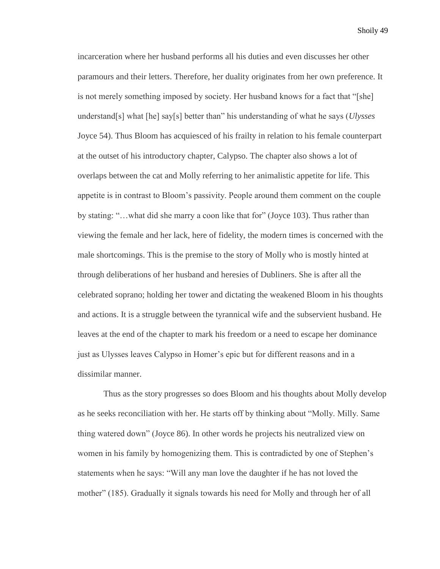incarceration where her husband performs all his duties and even discusses her other paramours and their letters. Therefore, her duality originates from her own preference. It is not merely something imposed by society. Her husband knows for a fact that "[she] understand[s] what [he] say[s] better than" his understanding of what he says (*Ulysses*  Joyce 54). Thus Bloom has acquiesced of his frailty in relation to his female counterpart at the outset of his introductory chapter, Calypso. The chapter also shows a lot of overlaps between the cat and Molly referring to her animalistic appetite for life. This appetite is in contrast to Bloom's passivity. People around them comment on the couple by stating: "…what did she marry a coon like that for" (Joyce 103). Thus rather than viewing the female and her lack, here of fidelity, the modern times is concerned with the male shortcomings. This is the premise to the story of Molly who is mostly hinted at through deliberations of her husband and heresies of Dubliners. She is after all the celebrated soprano; holding her tower and dictating the weakened Bloom in his thoughts and actions. It is a struggle between the tyrannical wife and the subservient husband. He leaves at the end of the chapter to mark his freedom or a need to escape her dominance just as Ulysses leaves Calypso in Homer's epic but for different reasons and in a dissimilar manner.

Thus as the story progresses so does Bloom and his thoughts about Molly develop as he seeks reconciliation with her. He starts off by thinking about "Molly. Milly. Same thing watered down" (Joyce 86). In other words he projects his neutralized view on women in his family by homogenizing them. This is contradicted by one of Stephen's statements when he says: "Will any man love the daughter if he has not loved the mother" (185). Gradually it signals towards his need for Molly and through her of all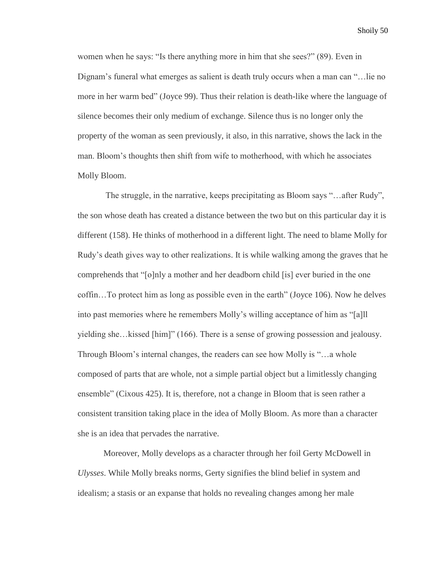women when he says: "Is there anything more in him that she sees?" (89). Even in Dignam's funeral what emerges as salient is death truly occurs when a man can "…lie no more in her warm bed" (Joyce 99). Thus their relation is death-like where the language of silence becomes their only medium of exchange. Silence thus is no longer only the property of the woman as seen previously, it also, in this narrative, shows the lack in the man. Bloom's thoughts then shift from wife to motherhood, with which he associates Molly Bloom.

The struggle, in the narrative, keeps precipitating as Bloom says "…after Rudy", the son whose death has created a distance between the two but on this particular day it is different (158). He thinks of motherhood in a different light. The need to blame Molly for Rudy's death gives way to other realizations. It is while walking among the graves that he comprehends that "[o]nly a mother and her deadborn child [is] ever buried in the one coffin…To protect him as long as possible even in the earth" (Joyce 106). Now he delves into past memories where he remembers Molly's willing acceptance of him as "[a]ll yielding she…kissed [him]" (166). There is a sense of growing possession and jealousy. Through Bloom's internal changes, the readers can see how Molly is "…a whole composed of parts that are whole, not a simple partial object but a limitlessly changing ensemble" (Cixous 425). It is, therefore, not a change in Bloom that is seen rather a consistent transition taking place in the idea of Molly Bloom. As more than a character she is an idea that pervades the narrative.

Moreover, Molly develops as a character through her foil Gerty McDowell in *Ulysses*. While Molly breaks norms, Gerty signifies the blind belief in system and idealism; a stasis or an expanse that holds no revealing changes among her male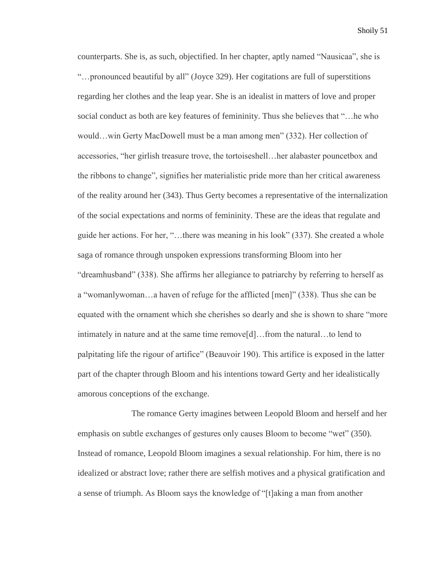counterparts. She is, as such, objectified. In her chapter, aptly named "Nausicaa", she is "…pronounced beautiful by all" (Joyce 329). Her cogitations are full of superstitions regarding her clothes and the leap year. She is an idealist in matters of love and proper social conduct as both are key features of femininity. Thus she believes that "…he who would…win Gerty MacDowell must be a man among men" (332). Her collection of accessories, "her girlish treasure trove, the tortoiseshell…her alabaster pouncetbox and the ribbons to change", signifies her materialistic pride more than her critical awareness of the reality around her (343). Thus Gerty becomes a representative of the internalization of the social expectations and norms of femininity. These are the ideas that regulate and guide her actions. For her, "…there was meaning in his look" (337). She created a whole saga of romance through unspoken expressions transforming Bloom into her "dreamhusband" (338). She affirms her allegiance to patriarchy by referring to herself as a "womanlywoman…a haven of refuge for the afflicted [men]" (338). Thus she can be equated with the ornament which she cherishes so dearly and she is shown to share "more intimately in nature and at the same time remove[d]…from the natural…to lend to palpitating life the rigour of artifice" (Beauvoir 190). This artifice is exposed in the latter part of the chapter through Bloom and his intentions toward Gerty and her idealistically amorous conceptions of the exchange.

The romance Gerty imagines between Leopold Bloom and herself and her emphasis on subtle exchanges of gestures only causes Bloom to become "wet" (350). Instead of romance, Leopold Bloom imagines a sexual relationship. For him, there is no idealized or abstract love; rather there are selfish motives and a physical gratification and a sense of triumph. As Bloom says the knowledge of "[t]aking a man from another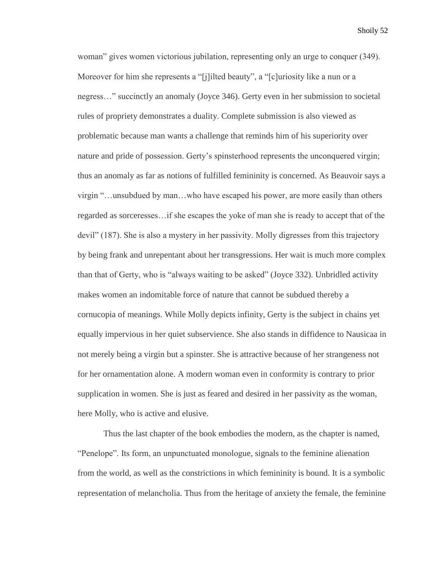woman" gives women victorious jubilation, representing only an urge to conquer (349). Moreover for him she represents a "[j]ilted beauty", a "[c]uriosity like a nun or a negress…" succinctly an anomaly (Joyce 346). Gerty even in her submission to societal rules of propriety demonstrates a duality. Complete submission is also viewed as problematic because man wants a challenge that reminds him of his superiority over nature and pride of possession. Gerty's spinsterhood represents the unconquered virgin; thus an anomaly as far as notions of fulfilled femininity is concerned. As Beauvoir says a virgin "…unsubdued by man…who have escaped his power, are more easily than others regarded as sorceresses…if she escapes the yoke of man she is ready to accept that of the devil" (187). She is also a mystery in her passivity. Molly digresses from this trajectory by being frank and unrepentant about her transgressions. Her wait is much more complex than that of Gerty, who is "always waiting to be asked" (Joyce 332). Unbridled activity makes women an indomitable force of nature that cannot be subdued thereby a cornucopia of meanings. While Molly depicts infinity, Gerty is the subject in chains yet equally impervious in her quiet subservience. She also stands in diffidence to Nausicaa in not merely being a virgin but a spinster. She is attractive because of her strangeness not for her ornamentation alone. A modern woman even in conformity is contrary to prior supplication in women. She is just as feared and desired in her passivity as the woman, here Molly, who is active and elusive.

Thus the last chapter of the book embodies the modern, as the chapter is named, "Penelope". Its form, an unpunctuated monologue, signals to the feminine alienation from the world, as well as the constrictions in which femininity is bound. It is a symbolic representation of melancholia. Thus from the heritage of anxiety the female, the feminine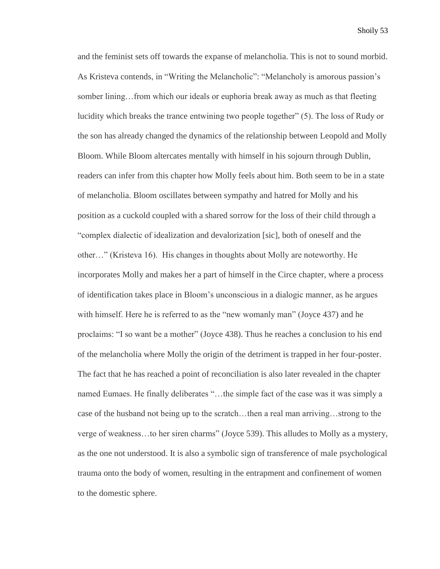and the feminist sets off towards the expanse of melancholia. This is not to sound morbid. As Kristeva contends, in "Writing the Melancholic": "Melancholy is amorous passion's somber lining…from which our ideals or euphoria break away as much as that fleeting lucidity which breaks the trance entwining two people together" (5). The loss of Rudy or the son has already changed the dynamics of the relationship between Leopold and Molly Bloom. While Bloom altercates mentally with himself in his sojourn through Dublin, readers can infer from this chapter how Molly feels about him. Both seem to be in a state of melancholia. Bloom oscillates between sympathy and hatred for Molly and his position as a cuckold coupled with a shared sorrow for the loss of their child through a "complex dialectic of idealization and devalorization [sic], both of oneself and the other…" (Kristeva 16). His changes in thoughts about Molly are noteworthy. He incorporates Molly and makes her a part of himself in the Circe chapter, where a process of identification takes place in Bloom's unconscious in a dialogic manner, as he argues with himself. Here he is referred to as the "new womanly man" (Joyce 437) and he proclaims: "I so want be a mother" (Joyce 438). Thus he reaches a conclusion to his end of the melancholia where Molly the origin of the detriment is trapped in her four-poster. The fact that he has reached a point of reconciliation is also later revealed in the chapter named Eumaes. He finally deliberates "…the simple fact of the case was it was simply a case of the husband not being up to the scratch…then a real man arriving…strong to the verge of weakness…to her siren charms" (Joyce 539). This alludes to Molly as a mystery, as the one not understood. It is also a symbolic sign of transference of male psychological trauma onto the body of women, resulting in the entrapment and confinement of women to the domestic sphere.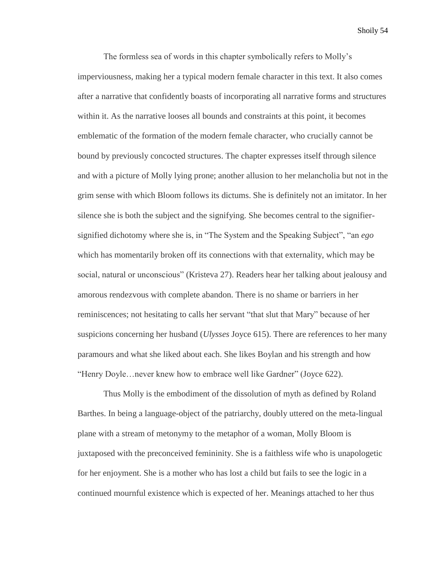The formless sea of words in this chapter symbolically refers to Molly's imperviousness, making her a typical modern female character in this text. It also comes after a narrative that confidently boasts of incorporating all narrative forms and structures within it. As the narrative looses all bounds and constraints at this point, it becomes emblematic of the formation of the modern female character, who crucially cannot be bound by previously concocted structures. The chapter expresses itself through silence and with a picture of Molly lying prone; another allusion to her melancholia but not in the grim sense with which Bloom follows its dictums. She is definitely not an imitator. In her silence she is both the subject and the signifying. She becomes central to the signifiersignified dichotomy where she is, in "The System and the Speaking Subject", "an *ego*  which has momentarily broken off its connections with that externality, which may be social, natural or unconscious" (Kristeva 27). Readers hear her talking about jealousy and amorous rendezvous with complete abandon. There is no shame or barriers in her reminiscences; not hesitating to calls her servant "that slut that Mary" because of her suspicions concerning her husband (*Ulysses* Joyce 615). There are references to her many paramours and what she liked about each. She likes Boylan and his strength and how "Henry Doyle…never knew how to embrace well like Gardner" (Joyce 622).

Thus Molly is the embodiment of the dissolution of myth as defined by Roland Barthes. In being a language-object of the patriarchy, doubly uttered on the meta-lingual plane with a stream of metonymy to the metaphor of a woman, Molly Bloom is juxtaposed with the preconceived femininity. She is a faithless wife who is unapologetic for her enjoyment. She is a mother who has lost a child but fails to see the logic in a continued mournful existence which is expected of her. Meanings attached to her thus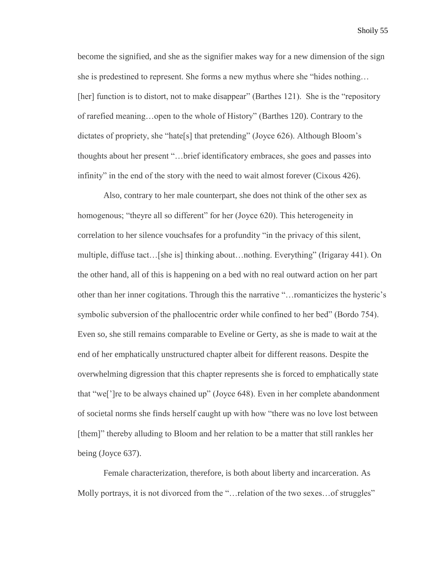become the signified, and she as the signifier makes way for a new dimension of the sign she is predestined to represent. She forms a new mythus where she "hides nothing… [her] function is to distort, not to make disappear" (Barthes 121). She is the "repository of rarefied meaning…open to the whole of History" (Barthes 120). Contrary to the dictates of propriety, she "hate[s] that pretending" (Joyce 626). Although Bloom's thoughts about her present "…brief identificatory embraces, she goes and passes into infinity" in the end of the story with the need to wait almost forever (Cixous 426).

Also, contrary to her male counterpart, she does not think of the other sex as homogenous; "theyre all so different" for her (Joyce 620). This heterogeneity in correlation to her silence vouchsafes for a profundity "in the privacy of this silent, multiple, diffuse tact…[she is] thinking about…nothing. Everything" (Irigaray 441). On the other hand, all of this is happening on a bed with no real outward action on her part other than her inner cogitations. Through this the narrative "…romanticizes the hysteric's symbolic subversion of the phallocentric order while confined to her bed" (Bordo 754). Even so, she still remains comparable to Eveline or Gerty, as she is made to wait at the end of her emphatically unstructured chapter albeit for different reasons. Despite the overwhelming digression that this chapter represents she is forced to emphatically state that "we[']re to be always chained up" (Joyce 648). Even in her complete abandonment of societal norms she finds herself caught up with how "there was no love lost between [them]" thereby alluding to Bloom and her relation to be a matter that still rankles her being (Joyce 637).

Female characterization, therefore, is both about liberty and incarceration. As Molly portrays, it is not divorced from the "... relation of the two sexes... of struggles"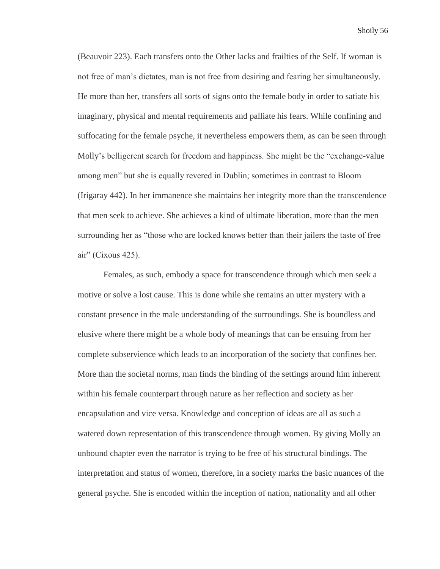(Beauvoir 223). Each transfers onto the Other lacks and frailties of the Self. If woman is not free of man's dictates, man is not free from desiring and fearing her simultaneously. He more than her, transfers all sorts of signs onto the female body in order to satiate his imaginary, physical and mental requirements and palliate his fears. While confining and suffocating for the female psyche, it nevertheless empowers them, as can be seen through Molly's belligerent search for freedom and happiness. She might be the "exchange-value among men" but she is equally revered in Dublin; sometimes in contrast to Bloom (Irigaray 442). In her immanence she maintains her integrity more than the transcendence that men seek to achieve. She achieves a kind of ultimate liberation, more than the men surrounding her as "those who are locked knows better than their jailers the taste of free air" (Cixous 425).

Females, as such, embody a space for transcendence through which men seek a motive or solve a lost cause. This is done while she remains an utter mystery with a constant presence in the male understanding of the surroundings. She is boundless and elusive where there might be a whole body of meanings that can be ensuing from her complete subservience which leads to an incorporation of the society that confines her. More than the societal norms, man finds the binding of the settings around him inherent within his female counterpart through nature as her reflection and society as her encapsulation and vice versa. Knowledge and conception of ideas are all as such a watered down representation of this transcendence through women. By giving Molly an unbound chapter even the narrator is trying to be free of his structural bindings. The interpretation and status of women, therefore, in a society marks the basic nuances of the general psyche. She is encoded within the inception of nation, nationality and all other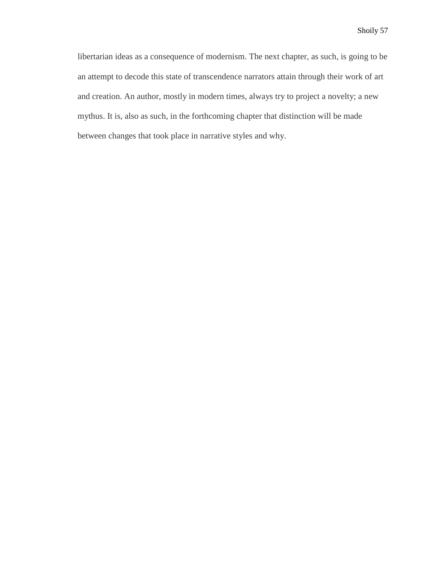libertarian ideas as a consequence of modernism. The next chapter, as such, is going to be an attempt to decode this state of transcendence narrators attain through their work of art and creation. An author, mostly in modern times, always try to project a novelty; a new mythus. It is, also as such, in the forthcoming chapter that distinction will be made between changes that took place in narrative styles and why.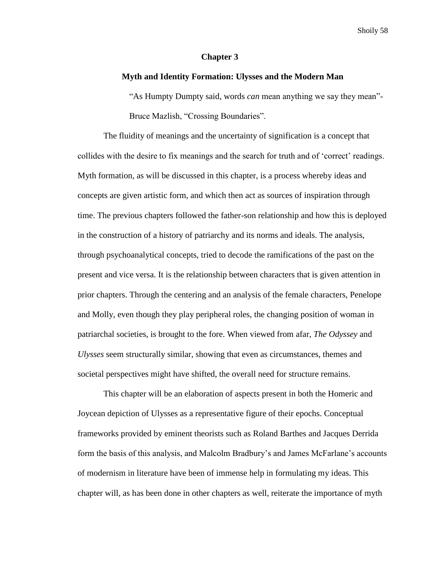## **Chapter 3**

## **Myth and Identity Formation: Ulysses and the Modern Man**

"As Humpty Dumpty said, words *can* mean anything we say they mean"- Bruce Mazlish, "Crossing Boundaries".

The fluidity of meanings and the uncertainty of signification is a concept that collides with the desire to fix meanings and the search for truth and of 'correct' readings. Myth formation, as will be discussed in this chapter, is a process whereby ideas and concepts are given artistic form, and which then act as sources of inspiration through time. The previous chapters followed the father-son relationship and how this is deployed in the construction of a history of patriarchy and its norms and ideals. The analysis, through psychoanalytical concepts, tried to decode the ramifications of the past on the present and vice versa. It is the relationship between characters that is given attention in prior chapters. Through the centering and an analysis of the female characters, Penelope and Molly, even though they play peripheral roles, the changing position of woman in patriarchal societies, is brought to the fore. When viewed from afar, *The Odyssey* and *Ulysses* seem structurally similar, showing that even as circumstances, themes and societal perspectives might have shifted, the overall need for structure remains.

This chapter will be an elaboration of aspects present in both the Homeric and Joycean depiction of Ulysses as a representative figure of their epochs. Conceptual frameworks provided by eminent theorists such as Roland Barthes and Jacques Derrida form the basis of this analysis, and Malcolm Bradbury's and James McFarlane's accounts of modernism in literature have been of immense help in formulating my ideas. This chapter will, as has been done in other chapters as well, reiterate the importance of myth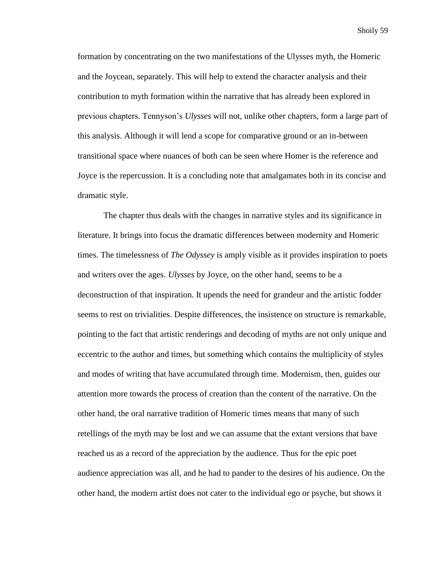formation by concentrating on the two manifestations of the Ulysses myth, the Homeric and the Joycean, separately. This will help to extend the character analysis and their contribution to myth formation within the narrative that has already been explored in previous chapters. Tennyson's *Ulysses* will not, unlike other chapters, form a large part of this analysis. Although it will lend a scope for comparative ground or an in-between transitional space where nuances of both can be seen where Homer is the reference and Joyce is the repercussion. It is a concluding note that amalgamates both in its concise and dramatic style.

The chapter thus deals with the changes in narrative styles and its significance in literature. It brings into focus the dramatic differences between modernity and Homeric times. The timelessness of *The Odyssey* is amply visible as it provides inspiration to poets and writers over the ages. *Ulysses* by Joyce, on the other hand, seems to be a deconstruction of that inspiration. It upends the need for grandeur and the artistic fodder seems to rest on trivialities. Despite differences, the insistence on structure is remarkable, pointing to the fact that artistic renderings and decoding of myths are not only unique and eccentric to the author and times, but something which contains the multiplicity of styles and modes of writing that have accumulated through time. Modernism, then, guides our attention more towards the process of creation than the content of the narrative. On the other hand, the oral narrative tradition of Homeric times means that many of such retellings of the myth may be lost and we can assume that the extant versions that have reached us as a record of the appreciation by the audience. Thus for the epic poet audience appreciation was all, and he had to pander to the desires of his audience. On the other hand, the modern artist does not cater to the individual ego or psyche, but shows it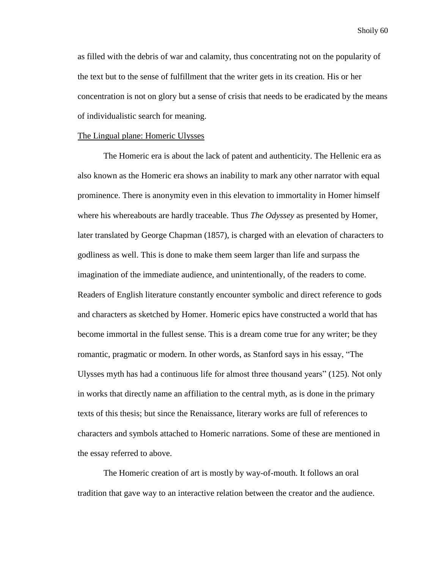as filled with the debris of war and calamity, thus concentrating not on the popularity of the text but to the sense of fulfillment that the writer gets in its creation. His or her concentration is not on glory but a sense of crisis that needs to be eradicated by the means of individualistic search for meaning.

#### The Lingual plane: Homeric Ulysses

 The Homeric era is about the lack of patent and authenticity. The Hellenic era as also known as the Homeric era shows an inability to mark any other narrator with equal prominence. There is anonymity even in this elevation to immortality in Homer himself where his whereabouts are hardly traceable. Thus *The Odyssey* as presented by Homer, later translated by George Chapman (1857), is charged with an elevation of characters to godliness as well. This is done to make them seem larger than life and surpass the imagination of the immediate audience, and unintentionally, of the readers to come. Readers of English literature constantly encounter symbolic and direct reference to gods and characters as sketched by Homer. Homeric epics have constructed a world that has become immortal in the fullest sense. This is a dream come true for any writer; be they romantic, pragmatic or modern. In other words, as Stanford says in his essay, "The Ulysses myth has had a continuous life for almost three thousand years" (125). Not only in works that directly name an affiliation to the central myth, as is done in the primary texts of this thesis; but since the Renaissance, literary works are full of references to characters and symbols attached to Homeric narrations. Some of these are mentioned in the essay referred to above.

The Homeric creation of art is mostly by way-of-mouth. It follows an oral tradition that gave way to an interactive relation between the creator and the audience.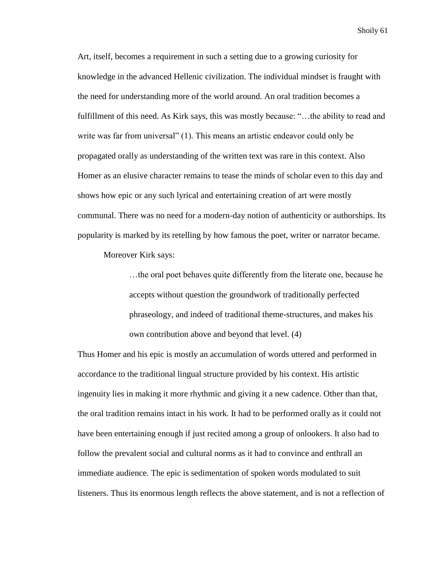Art, itself, becomes a requirement in such a setting due to a growing curiosity for knowledge in the advanced Hellenic civilization. The individual mindset is fraught with the need for understanding more of the world around. An oral tradition becomes a fulfillment of this need. As Kirk says, this was mostly because: "…the ability to read and write was far from universal" (1). This means an artistic endeavor could only be propagated orally as understanding of the written text was rare in this context. Also Homer as an elusive character remains to tease the minds of scholar even to this day and shows how epic or any such lyrical and entertaining creation of art were mostly communal. There was no need for a modern-day notion of authenticity or authorships. Its popularity is marked by its retelling by how famous the poet, writer or narrator became.

Moreover Kirk says:

…the oral poet behaves quite differently from the literate one, because he accepts without question the groundwork of traditionally perfected phraseology, and indeed of traditional theme-structures, and makes his own contribution above and beyond that level. (4)

Thus Homer and his epic is mostly an accumulation of words uttered and performed in accordance to the traditional lingual structure provided by his context. His artistic ingenuity lies in making it more rhythmic and giving it a new cadence. Other than that, the oral tradition remains intact in his work. It had to be performed orally as it could not have been entertaining enough if just recited among a group of onlookers. It also had to follow the prevalent social and cultural norms as it had to convince and enthrall an immediate audience. The epic is sedimentation of spoken words modulated to suit listeners. Thus its enormous length reflects the above statement, and is not a reflection of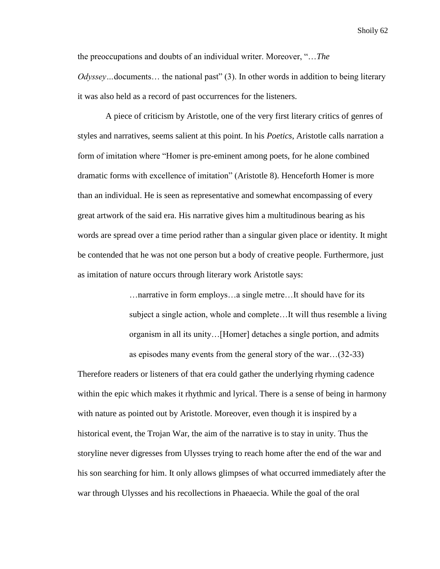the preoccupations and doubts of an individual writer. Moreover, "…*The Odyssey*... documents... the national past" (3). In other words in addition to being literary it was also held as a record of past occurrences for the listeners.

A piece of criticism by Aristotle, one of the very first literary critics of genres of styles and narratives, seems salient at this point. In his *Poetics*, Aristotle calls narration a form of imitation where "Homer is pre-eminent among poets, for he alone combined dramatic forms with excellence of imitation" (Aristotle 8). Henceforth Homer is more than an individual. He is seen as representative and somewhat encompassing of every great artwork of the said era. His narrative gives him a multitudinous bearing as his words are spread over a time period rather than a singular given place or identity. It might be contended that he was not one person but a body of creative people. Furthermore, just as imitation of nature occurs through literary work Aristotle says:

> …narrative in form employs…a single metre…It should have for its subject a single action, whole and complete…It will thus resemble a living organism in all its unity…[Homer] detaches a single portion, and admits as episodes many events from the general story of the war…(32-33)

Therefore readers or listeners of that era could gather the underlying rhyming cadence within the epic which makes it rhythmic and lyrical. There is a sense of being in harmony with nature as pointed out by Aristotle. Moreover, even though it is inspired by a historical event, the Trojan War, the aim of the narrative is to stay in unity. Thus the storyline never digresses from Ulysses trying to reach home after the end of the war and his son searching for him. It only allows glimpses of what occurred immediately after the war through Ulysses and his recollections in Phaeaecia. While the goal of the oral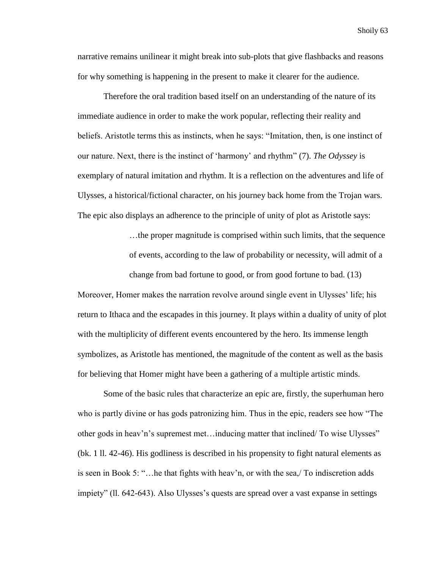narrative remains unilinear it might break into sub-plots that give flashbacks and reasons for why something is happening in the present to make it clearer for the audience.

Therefore the oral tradition based itself on an understanding of the nature of its immediate audience in order to make the work popular, reflecting their reality and beliefs. Aristotle terms this as instincts, when he says: "Imitation, then, is one instinct of our nature. Next, there is the instinct of 'harmony' and rhythm" (7). *The Odyssey* is exemplary of natural imitation and rhythm. It is a reflection on the adventures and life of Ulysses, a historical/fictional character, on his journey back home from the Trojan wars. The epic also displays an adherence to the principle of unity of plot as Aristotle says:

> …the proper magnitude is comprised within such limits, that the sequence of events, according to the law of probability or necessity, will admit of a

change from bad fortune to good, or from good fortune to bad. (13)

Moreover, Homer makes the narration revolve around single event in Ulysses' life; his return to Ithaca and the escapades in this journey. It plays within a duality of unity of plot with the multiplicity of different events encountered by the hero. Its immense length symbolizes, as Aristotle has mentioned, the magnitude of the content as well as the basis for believing that Homer might have been a gathering of a multiple artistic minds.

Some of the basic rules that characterize an epic are, firstly, the superhuman hero who is partly divine or has gods patronizing him. Thus in the epic, readers see how "The other gods in heav'n's supremest met…inducing matter that inclined/ To wise Ulysses" (bk. 1 ll. 42-46). His godliness is described in his propensity to fight natural elements as is seen in Book 5: "…he that fights with heav'n, or with the sea,/ To indiscretion adds impiety" (ll. 642-643). Also Ulysses's quests are spread over a vast expanse in settings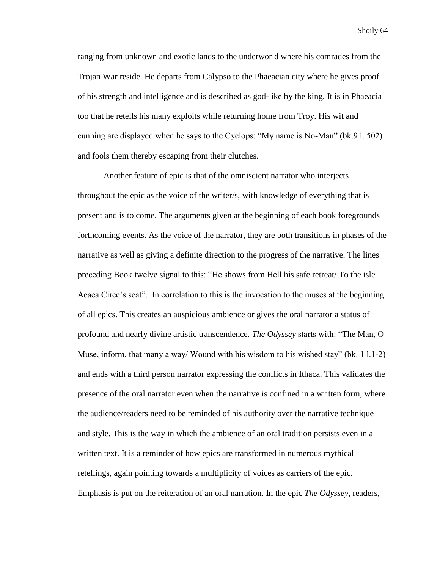ranging from unknown and exotic lands to the underworld where his comrades from the Trojan War reside. He departs from Calypso to the Phaeacian city where he gives proof of his strength and intelligence and is described as god-like by the king. It is in Phaeacia too that he retells his many exploits while returning home from Troy. His wit and cunning are displayed when he says to the Cyclops: "My name is No-Man" (bk.9 l. 502) and fools them thereby escaping from their clutches.

Another feature of epic is that of the omniscient narrator who interjects throughout the epic as the voice of the writer/s, with knowledge of everything that is present and is to come. The arguments given at the beginning of each book foregrounds forthcoming events. As the voice of the narrator, they are both transitions in phases of the narrative as well as giving a definite direction to the progress of the narrative. The lines preceding Book twelve signal to this: "He shows from Hell his safe retreat/ To the isle Aeaea Circe's seat". In correlation to this is the invocation to the muses at the beginning of all epics. This creates an auspicious ambience or gives the oral narrator a status of profound and nearly divine artistic transcendence. *The Odyssey* starts with: "The Man, O Muse, inform, that many a way/ Wound with his wisdom to his wished stay" (bk. 1 l.1-2) and ends with a third person narrator expressing the conflicts in Ithaca. This validates the presence of the oral narrator even when the narrative is confined in a written form, where the audience/readers need to be reminded of his authority over the narrative technique and style. This is the way in which the ambience of an oral tradition persists even in a written text. It is a reminder of how epics are transformed in numerous mythical retellings, again pointing towards a multiplicity of voices as carriers of the epic. Emphasis is put on the reiteration of an oral narration. In the epic *The Odyssey,* readers,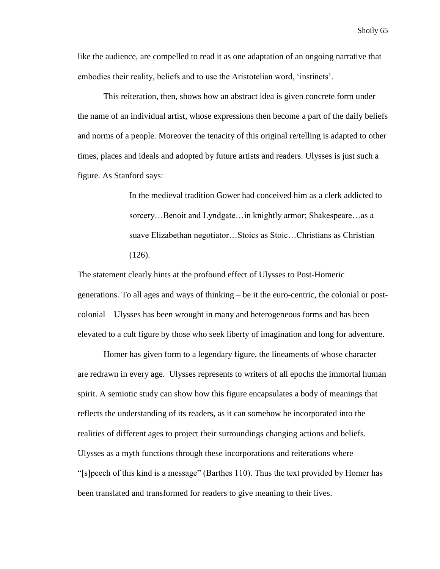like the audience, are compelled to read it as one adaptation of an ongoing narrative that embodies their reality, beliefs and to use the Aristotelian word, 'instincts'.

This reiteration, then, shows how an abstract idea is given concrete form under the name of an individual artist, whose expressions then become a part of the daily beliefs and norms of a people. Moreover the tenacity of this original re/telling is adapted to other times, places and ideals and adopted by future artists and readers. Ulysses is just such a figure. As Stanford says:

> In the medieval tradition Gower had conceived him as a clerk addicted to sorcery…Benoit and Lyndgate…in knightly armor; Shakespeare…as a suave Elizabethan negotiator…Stoics as Stoic…Christians as Christian (126).

The statement clearly hints at the profound effect of Ulysses to Post-Homeric generations. To all ages and ways of thinking – be it the euro-centric, the colonial or postcolonial – Ulysses has been wrought in many and heterogeneous forms and has been elevated to a cult figure by those who seek liberty of imagination and long for adventure.

Homer has given form to a legendary figure, the lineaments of whose character are redrawn in every age. Ulysses represents to writers of all epochs the immortal human spirit. A semiotic study can show how this figure encapsulates a body of meanings that reflects the understanding of its readers, as it can somehow be incorporated into the realities of different ages to project their surroundings changing actions and beliefs. Ulysses as a myth functions through these incorporations and reiterations where "[s]peech of this kind is a message" (Barthes 110). Thus the text provided by Homer has been translated and transformed for readers to give meaning to their lives.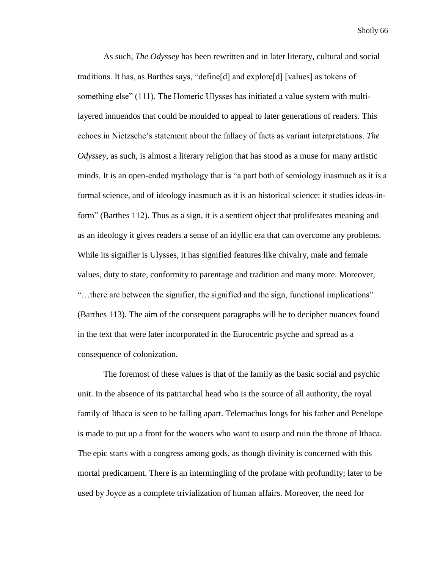As such, *The Odyssey* has been rewritten and in later literary, cultural and social traditions. It has, as Barthes says, "define[d] and explore[d] [values] as tokens of something else" (111). The Homeric Ulysses has initiated a value system with multilayered innuendos that could be moulded to appeal to later generations of readers. This echoes in Nietzsche's statement about the fallacy of facts as variant interpretations. *The Odyssey*, as such, is almost a literary religion that has stood as a muse for many artistic minds. It is an open-ended mythology that is "a part both of semiology inasmuch as it is a formal science, and of ideology inasmuch as it is an historical science: it studies ideas-inform" (Barthes 112). Thus as a sign, it is a sentient object that proliferates meaning and as an ideology it gives readers a sense of an idyllic era that can overcome any problems. While its signifier is Ulysses, it has signified features like chivalry, male and female values, duty to state, conformity to parentage and tradition and many more. Moreover, "…there are between the signifier, the signified and the sign, functional implications" (Barthes 113). The aim of the consequent paragraphs will be to decipher nuances found in the text that were later incorporated in the Eurocentric psyche and spread as a consequence of colonization.

The foremost of these values is that of the family as the basic social and psychic unit. In the absence of its patriarchal head who is the source of all authority, the royal family of Ithaca is seen to be falling apart. Telemachus longs for his father and Penelope is made to put up a front for the wooers who want to usurp and ruin the throne of Ithaca. The epic starts with a congress among gods, as though divinity is concerned with this mortal predicament. There is an intermingling of the profane with profundity; later to be used by Joyce as a complete trivialization of human affairs. Moreover, the need for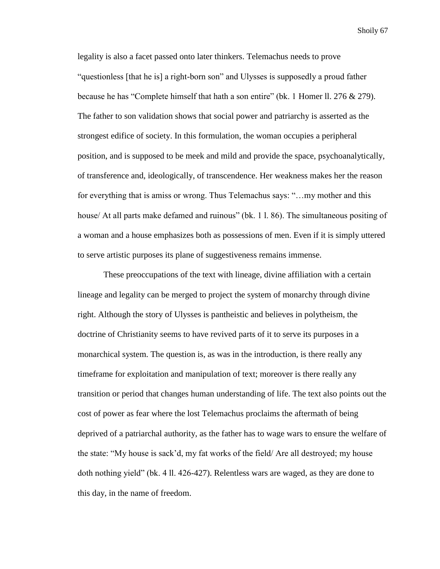legality is also a facet passed onto later thinkers. Telemachus needs to prove "questionless [that he is] a right-born son" and Ulysses is supposedly a proud father because he has "Complete himself that hath a son entire" (bk. 1 Homer ll. 276 & 279). The father to son validation shows that social power and patriarchy is asserted as the strongest edifice of society. In this formulation, the woman occupies a peripheral position, and is supposed to be meek and mild and provide the space, psychoanalytically, of transference and, ideologically, of transcendence. Her weakness makes her the reason for everything that is amiss or wrong. Thus Telemachus says: "…my mother and this house/ At all parts make defamed and ruinous" (bk. 1 l. 86). The simultaneous positing of a woman and a house emphasizes both as possessions of men. Even if it is simply uttered to serve artistic purposes its plane of suggestiveness remains immense.

These preoccupations of the text with lineage, divine affiliation with a certain lineage and legality can be merged to project the system of monarchy through divine right. Although the story of Ulysses is pantheistic and believes in polytheism, the doctrine of Christianity seems to have revived parts of it to serve its purposes in a monarchical system. The question is, as was in the introduction, is there really any timeframe for exploitation and manipulation of text; moreover is there really any transition or period that changes human understanding of life. The text also points out the cost of power as fear where the lost Telemachus proclaims the aftermath of being deprived of a patriarchal authority, as the father has to wage wars to ensure the welfare of the state: "My house is sack'd, my fat works of the field/ Are all destroyed; my house doth nothing yield" (bk. 4 ll. 426-427). Relentless wars are waged, as they are done to this day, in the name of freedom.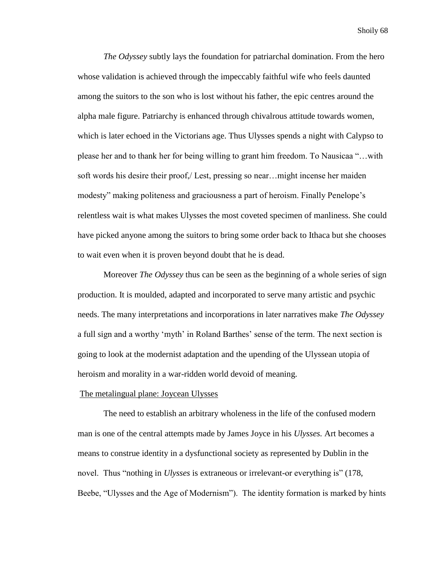*The Odyssey* subtly lays the foundation for patriarchal domination. From the hero whose validation is achieved through the impeccably faithful wife who feels daunted among the suitors to the son who is lost without his father, the epic centres around the alpha male figure. Patriarchy is enhanced through chivalrous attitude towards women, which is later echoed in the Victorians age. Thus Ulysses spends a night with Calypso to please her and to thank her for being willing to grant him freedom. To Nausicaa "…with soft words his desire their proof,/ Lest, pressing so near…might incense her maiden modesty" making politeness and graciousness a part of heroism. Finally Penelope's relentless wait is what makes Ulysses the most coveted specimen of manliness. She could have picked anyone among the suitors to bring some order back to Ithaca but she chooses to wait even when it is proven beyond doubt that he is dead.

Moreover *The Odyssey* thus can be seen as the beginning of a whole series of sign production. It is moulded, adapted and incorporated to serve many artistic and psychic needs. The many interpretations and incorporations in later narratives make *The Odyssey* a full sign and a worthy 'myth' in Roland Barthes' sense of the term. The next section is going to look at the modernist adaptation and the upending of the Ulyssean utopia of heroism and morality in a war-ridden world devoid of meaning.

### The metalingual plane: Joycean Ulysses

The need to establish an arbitrary wholeness in the life of the confused modern man is one of the central attempts made by James Joyce in his *Ulysses.* Art becomes a means to construe identity in a dysfunctional society as represented by Dublin in the novel. Thus "nothing in *Ulysses* is extraneous or irrelevant-or everything is" (178, Beebe, "Ulysses and the Age of Modernism"). The identity formation is marked by hints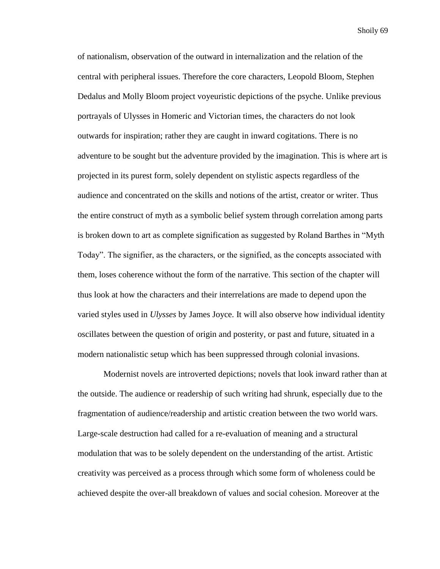of nationalism, observation of the outward in internalization and the relation of the central with peripheral issues. Therefore the core characters, Leopold Bloom, Stephen Dedalus and Molly Bloom project voyeuristic depictions of the psyche. Unlike previous portrayals of Ulysses in Homeric and Victorian times, the characters do not look outwards for inspiration; rather they are caught in inward cogitations. There is no adventure to be sought but the adventure provided by the imagination. This is where art is projected in its purest form, solely dependent on stylistic aspects regardless of the audience and concentrated on the skills and notions of the artist, creator or writer. Thus the entire construct of myth as a symbolic belief system through correlation among parts is broken down to art as complete signification as suggested by Roland Barthes in "Myth Today". The signifier, as the characters, or the signified, as the concepts associated with them, loses coherence without the form of the narrative. This section of the chapter will thus look at how the characters and their interrelations are made to depend upon the varied styles used in *Ulysses* by James Joyce. It will also observe how individual identity oscillates between the question of origin and posterity, or past and future, situated in a modern nationalistic setup which has been suppressed through colonial invasions.

Modernist novels are introverted depictions; novels that look inward rather than at the outside. The audience or readership of such writing had shrunk, especially due to the fragmentation of audience/readership and artistic creation between the two world wars. Large-scale destruction had called for a re-evaluation of meaning and a structural modulation that was to be solely dependent on the understanding of the artist. Artistic creativity was perceived as a process through which some form of wholeness could be achieved despite the over-all breakdown of values and social cohesion. Moreover at the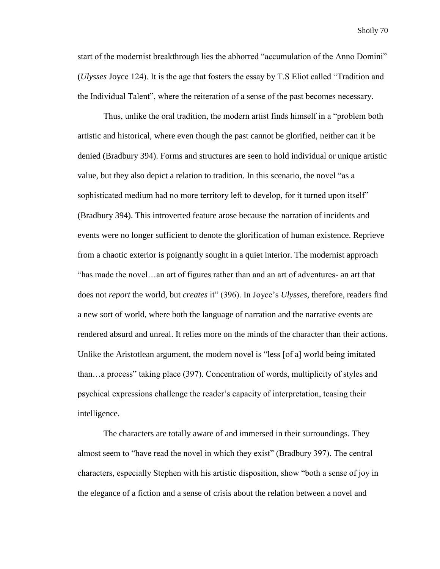start of the modernist breakthrough lies the abhorred "accumulation of the Anno Domini" (*Ulysses* Joyce 124). It is the age that fosters the essay by T.S Eliot called "Tradition and the Individual Talent", where the reiteration of a sense of the past becomes necessary.

Thus, unlike the oral tradition, the modern artist finds himself in a "problem both artistic and historical, where even though the past cannot be glorified, neither can it be denied (Bradbury 394). Forms and structures are seen to hold individual or unique artistic value, but they also depict a relation to tradition. In this scenario, the novel "as a sophisticated medium had no more territory left to develop, for it turned upon itself" (Bradbury 394). This introverted feature arose because the narration of incidents and events were no longer sufficient to denote the glorification of human existence. Reprieve from a chaotic exterior is poignantly sought in a quiet interior. The modernist approach "has made the novel…an art of figures rather than and an art of adventures- an art that does not *report* the world, but *creates* it" (396). In Joyce's *Ulysses,* therefore, readers find a new sort of world, where both the language of narration and the narrative events are rendered absurd and unreal. It relies more on the minds of the character than their actions. Unlike the Aristotlean argument, the modern novel is "less [of a] world being imitated than…a process" taking place (397). Concentration of words, multiplicity of styles and psychical expressions challenge the reader's capacity of interpretation, teasing their intelligence.

The characters are totally aware of and immersed in their surroundings. They almost seem to "have read the novel in which they exist" (Bradbury 397). The central characters, especially Stephen with his artistic disposition, show "both a sense of joy in the elegance of a fiction and a sense of crisis about the relation between a novel and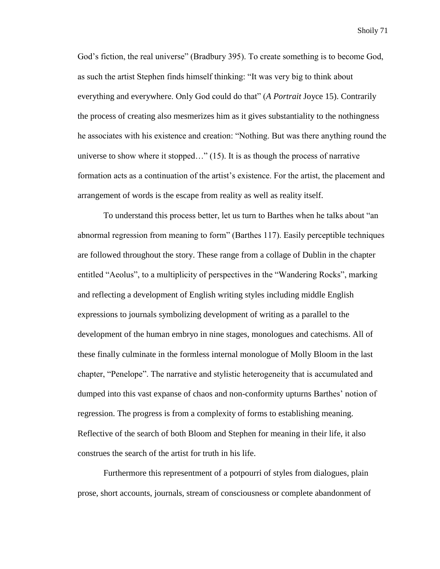God's fiction, the real universe" (Bradbury 395). To create something is to become God, as such the artist Stephen finds himself thinking: "It was very big to think about everything and everywhere. Only God could do that" (*A Portrait* Joyce 15). Contrarily the process of creating also mesmerizes him as it gives substantiality to the nothingness he associates with his existence and creation: "Nothing. But was there anything round the universe to show where it stopped…" (15). It is as though the process of narrative formation acts as a continuation of the artist's existence. For the artist, the placement and arrangement of words is the escape from reality as well as reality itself.

To understand this process better, let us turn to Barthes when he talks about "an abnormal regression from meaning to form" (Barthes 117). Easily perceptible techniques are followed throughout the story. These range from a collage of Dublin in the chapter entitled "Aeolus", to a multiplicity of perspectives in the "Wandering Rocks", marking and reflecting a development of English writing styles including middle English expressions to journals symbolizing development of writing as a parallel to the development of the human embryo in nine stages, monologues and catechisms. All of these finally culminate in the formless internal monologue of Molly Bloom in the last chapter, "Penelope". The narrative and stylistic heterogeneity that is accumulated and dumped into this vast expanse of chaos and non-conformity upturns Barthes' notion of regression. The progress is from a complexity of forms to establishing meaning. Reflective of the search of both Bloom and Stephen for meaning in their life, it also construes the search of the artist for truth in his life.

Furthermore this representment of a potpourri of styles from dialogues, plain prose, short accounts, journals, stream of consciousness or complete abandonment of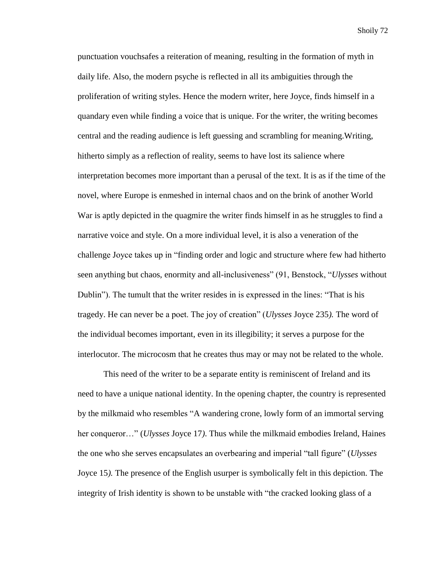punctuation vouchsafes a reiteration of meaning, resulting in the formation of myth in daily life. Also, the modern psyche is reflected in all its ambiguities through the proliferation of writing styles. Hence the modern writer, here Joyce, finds himself in a quandary even while finding a voice that is unique. For the writer, the writing becomes central and the reading audience is left guessing and scrambling for meaning.Writing, hitherto simply as a reflection of reality, seems to have lost its salience where interpretation becomes more important than a perusal of the text. It is as if the time of the novel, where Europe is enmeshed in internal chaos and on the brink of another World War is aptly depicted in the quagmire the writer finds himself in as he struggles to find a narrative voice and style. On a more individual level, it is also a veneration of the challenge Joyce takes up in "finding order and logic and structure where few had hitherto seen anything but chaos, enormity and all-inclusiveness" (91, Benstock, "*Ulysses* without Dublin"). The tumult that the writer resides in is expressed in the lines: "That is his tragedy. He can never be a poet. The joy of creation" (*Ulysses* Joyce 235*).* The word of the individual becomes important, even in its illegibility; it serves a purpose for the interlocutor. The microcosm that he creates thus may or may not be related to the whole.

This need of the writer to be a separate entity is reminiscent of Ireland and its need to have a unique national identity. In the opening chapter, the country is represented by the milkmaid who resembles "A wandering crone, lowly form of an immortal serving her conqueror…" (*Ulysses* Joyce 17*)*. Thus while the milkmaid embodies Ireland, Haines the one who she serves encapsulates an overbearing and imperial "tall figure" (*Ulysses* Joyce 15*).* The presence of the English usurper is symbolically felt in this depiction. The integrity of Irish identity is shown to be unstable with "the cracked looking glass of a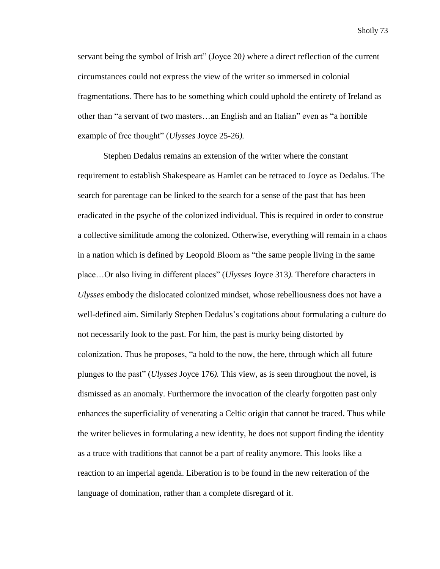servant being the symbol of Irish art" (Joyce 20*)* where a direct reflection of the current circumstances could not express the view of the writer so immersed in colonial fragmentations. There has to be something which could uphold the entirety of Ireland as other than "a servant of two masters…an English and an Italian" even as "a horrible example of free thought" (*Ulysses* Joyce 25-26*).*

Stephen Dedalus remains an extension of the writer where the constant requirement to establish Shakespeare as Hamlet can be retraced to Joyce as Dedalus. The search for parentage can be linked to the search for a sense of the past that has been eradicated in the psyche of the colonized individual. This is required in order to construe a collective similitude among the colonized. Otherwise, everything will remain in a chaos in a nation which is defined by Leopold Bloom as "the same people living in the same place…Or also living in different places" (*Ulysses* Joyce 313*).* Therefore characters in *Ulysses* embody the dislocated colonized mindset, whose rebelliousness does not have a well-defined aim. Similarly Stephen Dedalus's cogitations about formulating a culture do not necessarily look to the past. For him, the past is murky being distorted by colonization. Thus he proposes, "a hold to the now, the here, through which all future plunges to the past" (*Ulysses* Joyce 176*).* This view, as is seen throughout the novel, is dismissed as an anomaly. Furthermore the invocation of the clearly forgotten past only enhances the superficiality of venerating a Celtic origin that cannot be traced. Thus while the writer believes in formulating a new identity, he does not support finding the identity as a truce with traditions that cannot be a part of reality anymore. This looks like a reaction to an imperial agenda. Liberation is to be found in the new reiteration of the language of domination, rather than a complete disregard of it.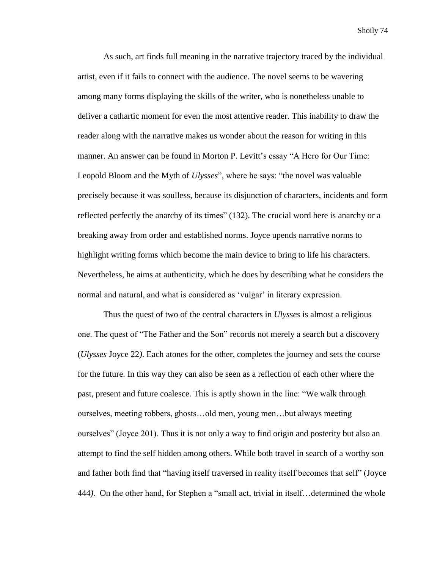As such, art finds full meaning in the narrative trajectory traced by the individual artist, even if it fails to connect with the audience. The novel seems to be wavering among many forms displaying the skills of the writer, who is nonetheless unable to deliver a cathartic moment for even the most attentive reader. This inability to draw the reader along with the narrative makes us wonder about the reason for writing in this manner. An answer can be found in Morton P. Levitt's essay "A Hero for Our Time: Leopold Bloom and the Myth of *Ulysses*", where he says: "the novel was valuable precisely because it was soulless, because its disjunction of characters, incidents and form reflected perfectly the anarchy of its times" (132). The crucial word here is anarchy or a breaking away from order and established norms. Joyce upends narrative norms to highlight writing forms which become the main device to bring to life his characters. Nevertheless, he aims at authenticity, which he does by describing what he considers the normal and natural, and what is considered as 'vulgar' in literary expression.

Thus the quest of two of the central characters in *Ulysses* is almost a religious one. The quest of "The Father and the Son" records not merely a search but a discovery (*Ulysses* Joyce 22*)*. Each atones for the other, completes the journey and sets the course for the future. In this way they can also be seen as a reflection of each other where the past, present and future coalesce. This is aptly shown in the line: "We walk through ourselves, meeting robbers, ghosts…old men, young men…but always meeting ourselves" (Joyce 201). Thus it is not only a way to find origin and posterity but also an attempt to find the self hidden among others. While both travel in search of a worthy son and father both find that "having itself traversed in reality itself becomes that self" (Joyce 444*)*. On the other hand, for Stephen a "small act, trivial in itself…determined the whole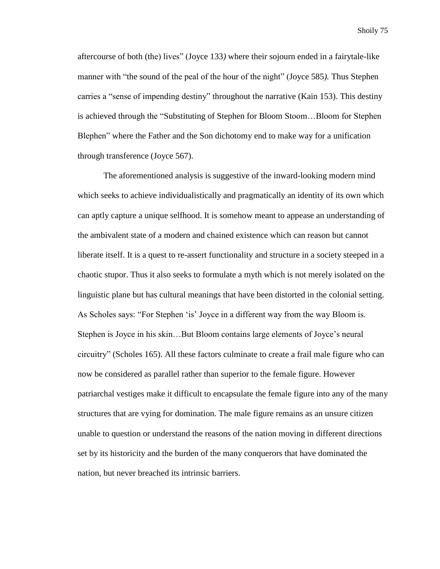aftercourse of both (the) lives" (Joyce 133*)* where their sojourn ended in a fairytale-like manner with "the sound of the peal of the hour of the night" (Joyce 585*).* Thus Stephen carries a "sense of impending destiny" throughout the narrative (Kain 153). This destiny is achieved through the "Substituting of Stephen for Bloom Stoom…Bloom for Stephen Blephen" where the Father and the Son dichotomy end to make way for a unification through transference (Joyce 567).

The aforementioned analysis is suggestive of the inward-looking modern mind which seeks to achieve individualistically and pragmatically an identity of its own which can aptly capture a unique selfhood. It is somehow meant to appease an understanding of the ambivalent state of a modern and chained existence which can reason but cannot liberate itself. It is a quest to re-assert functionality and structure in a society steeped in a chaotic stupor. Thus it also seeks to formulate a myth which is not merely isolated on the linguistic plane but has cultural meanings that have been distorted in the colonial setting. As Scholes says: "For Stephen 'is' Joyce in a different way from the way Bloom is. Stephen is Joyce in his skin…But Bloom contains large elements of Joyce's neural circuitry" (Scholes 165). All these factors culminate to create a frail male figure who can now be considered as parallel rather than superior to the female figure. However patriarchal vestiges make it difficult to encapsulate the female figure into any of the many structures that are vying for domination. The male figure remains as an unsure citizen unable to question or understand the reasons of the nation moving in different directions set by its historicity and the burden of the many conquerors that have dominated the nation, but never breached its intrinsic barriers.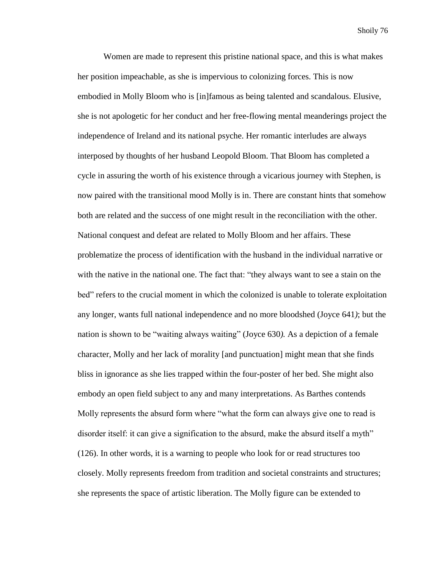Women are made to represent this pristine national space, and this is what makes her position impeachable, as she is impervious to colonizing forces. This is now embodied in Molly Bloom who is [in]famous as being talented and scandalous. Elusive, she is not apologetic for her conduct and her free-flowing mental meanderings project the independence of Ireland and its national psyche. Her romantic interludes are always interposed by thoughts of her husband Leopold Bloom. That Bloom has completed a cycle in assuring the worth of his existence through a vicarious journey with Stephen, is now paired with the transitional mood Molly is in. There are constant hints that somehow both are related and the success of one might result in the reconciliation with the other. National conquest and defeat are related to Molly Bloom and her affairs. These problematize the process of identification with the husband in the individual narrative or with the native in the national one. The fact that: "they always want to see a stain on the bed" refers to the crucial moment in which the colonized is unable to tolerate exploitation any longer, wants full national independence and no more bloodshed (Joyce 641*)*; but the nation is shown to be "waiting always waiting" (Joyce 630*).* As a depiction of a female character, Molly and her lack of morality [and punctuation] might mean that she finds bliss in ignorance as she lies trapped within the four-poster of her bed. She might also embody an open field subject to any and many interpretations. As Barthes contends Molly represents the absurd form where "what the form can always give one to read is disorder itself: it can give a signification to the absurd, make the absurd itself a myth" (126). In other words, it is a warning to people who look for or read structures too closely. Molly represents freedom from tradition and societal constraints and structures; she represents the space of artistic liberation. The Molly figure can be extended to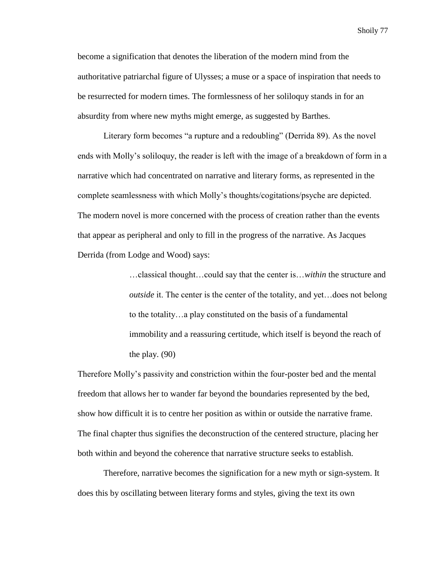become a signification that denotes the liberation of the modern mind from the authoritative patriarchal figure of Ulysses; a muse or a space of inspiration that needs to be resurrected for modern times. The formlessness of her soliloquy stands in for an absurdity from where new myths might emerge, as suggested by Barthes.

Literary form becomes "a rupture and a redoubling" (Derrida 89). As the novel ends with Molly's soliloquy, the reader is left with the image of a breakdown of form in a narrative which had concentrated on narrative and literary forms, as represented in the complete seamlessness with which Molly's thoughts/cogitations/psyche are depicted. The modern novel is more concerned with the process of creation rather than the events that appear as peripheral and only to fill in the progress of the narrative. As Jacques Derrida (from Lodge and Wood) says:

> …classical thought…could say that the center is…*within* the structure and *outside* it. The center is the center of the totality, and yet…does not belong to the totality…a play constituted on the basis of a fundamental immobility and a reassuring certitude, which itself is beyond the reach of the play. (90)

Therefore Molly's passivity and constriction within the four-poster bed and the mental freedom that allows her to wander far beyond the boundaries represented by the bed, show how difficult it is to centre her position as within or outside the narrative frame. The final chapter thus signifies the deconstruction of the centered structure, placing her both within and beyond the coherence that narrative structure seeks to establish.

Therefore, narrative becomes the signification for a new myth or sign-system. It does this by oscillating between literary forms and styles, giving the text its own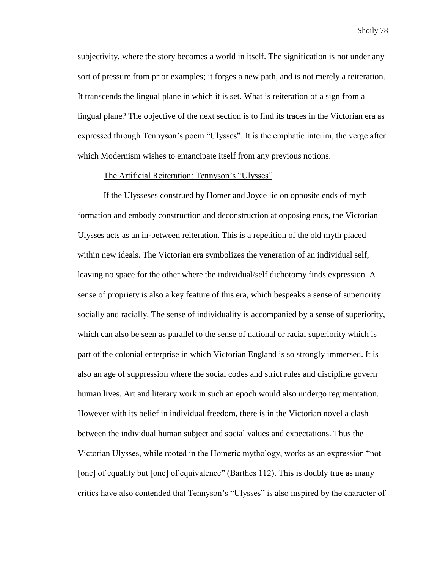subjectivity, where the story becomes a world in itself. The signification is not under any sort of pressure from prior examples; it forges a new path, and is not merely a reiteration. It transcends the lingual plane in which it is set. What is reiteration of a sign from a lingual plane? The objective of the next section is to find its traces in the Victorian era as expressed through Tennyson's poem "Ulysses". It is the emphatic interim, the verge after which Modernism wishes to emancipate itself from any previous notions.

## The Artificial Reiteration: Tennyson's "Ulysses"

If the Ulysseses construed by Homer and Joyce lie on opposite ends of myth formation and embody construction and deconstruction at opposing ends, the Victorian Ulysses acts as an in-between reiteration. This is a repetition of the old myth placed within new ideals. The Victorian era symbolizes the veneration of an individual self, leaving no space for the other where the individual/self dichotomy finds expression. A sense of propriety is also a key feature of this era, which bespeaks a sense of superiority socially and racially. The sense of individuality is accompanied by a sense of superiority, which can also be seen as parallel to the sense of national or racial superiority which is part of the colonial enterprise in which Victorian England is so strongly immersed. It is also an age of suppression where the social codes and strict rules and discipline govern human lives. Art and literary work in such an epoch would also undergo regimentation. However with its belief in individual freedom, there is in the Victorian novel a clash between the individual human subject and social values and expectations. Thus the Victorian Ulysses, while rooted in the Homeric mythology, works as an expression "not [one] of equality but [one] of equivalence" (Barthes 112). This is doubly true as many critics have also contended that Tennyson's "Ulysses" is also inspired by the character of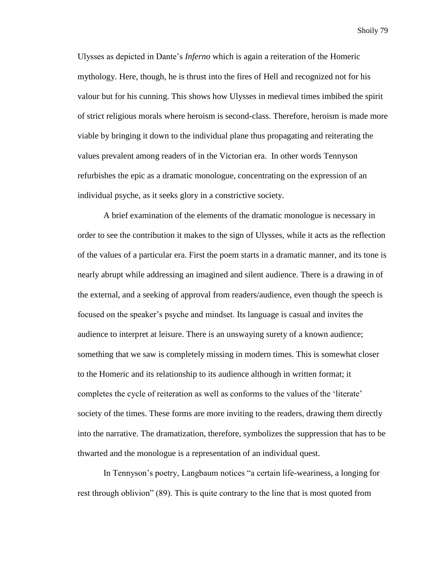Ulysses as depicted in Dante's *Inferno* which is again a reiteration of the Homeric mythology. Here, though, he is thrust into the fires of Hell and recognized not for his valour but for his cunning. This shows how Ulysses in medieval times imbibed the spirit of strict religious morals where heroism is second-class. Therefore, heroism is made more viable by bringing it down to the individual plane thus propagating and reiterating the values prevalent among readers of in the Victorian era. In other words Tennyson refurbishes the epic as a dramatic monologue, concentrating on the expression of an individual psyche, as it seeks glory in a constrictive society.

A brief examination of the elements of the dramatic monologue is necessary in order to see the contribution it makes to the sign of Ulysses, while it acts as the reflection of the values of a particular era. First the poem starts in a dramatic manner, and its tone is nearly abrupt while addressing an imagined and silent audience. There is a drawing in of the external, and a seeking of approval from readers/audience, even though the speech is focused on the speaker's psyche and mindset. Its language is casual and invites the audience to interpret at leisure. There is an unswaying surety of a known audience; something that we saw is completely missing in modern times. This is somewhat closer to the Homeric and its relationship to its audience although in written format; it completes the cycle of reiteration as well as conforms to the values of the 'literate' society of the times. These forms are more inviting to the readers, drawing them directly into the narrative. The dramatization, therefore, symbolizes the suppression that has to be thwarted and the monologue is a representation of an individual quest.

In Tennyson's poetry, Langbaum notices "a certain life-weariness, a longing for rest through oblivion" (89). This is quite contrary to the line that is most quoted from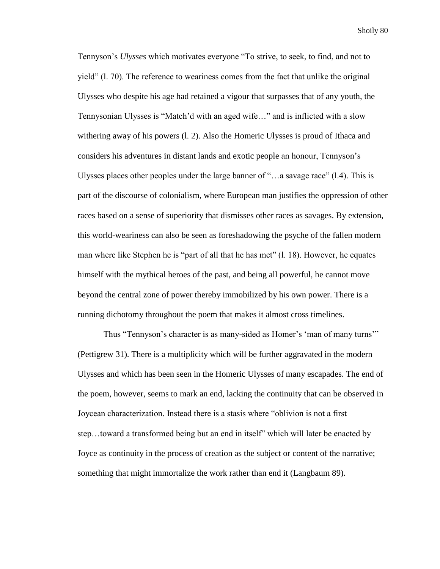Tennyson's *Ulysses* which motivates everyone "To strive, to seek, to find, and not to yield" (l. 70). The reference to weariness comes from the fact that unlike the original Ulysses who despite his age had retained a vigour that surpasses that of any youth, the Tennysonian Ulysses is "Match'd with an aged wife…" and is inflicted with a slow withering away of his powers (l. 2). Also the Homeric Ulysses is proud of Ithaca and considers his adventures in distant lands and exotic people an honour, Tennyson's Ulysses places other peoples under the large banner of "…a savage race" (l.4). This is part of the discourse of colonialism, where European man justifies the oppression of other races based on a sense of superiority that dismisses other races as savages. By extension, this world-weariness can also be seen as foreshadowing the psyche of the fallen modern man where like Stephen he is "part of all that he has met" (l. 18). However, he equates himself with the mythical heroes of the past, and being all powerful, he cannot move beyond the central zone of power thereby immobilized by his own power. There is a running dichotomy throughout the poem that makes it almost cross timelines.

Thus "Tennyson's character is as many-sided as Homer's 'man of many turns'" (Pettigrew 31). There is a multiplicity which will be further aggravated in the modern Ulysses and which has been seen in the Homeric Ulysses of many escapades. The end of the poem, however, seems to mark an end, lacking the continuity that can be observed in Joycean characterization. Instead there is a stasis where "oblivion is not a first step…toward a transformed being but an end in itself" which will later be enacted by Joyce as continuity in the process of creation as the subject or content of the narrative; something that might immortalize the work rather than end it (Langbaum 89).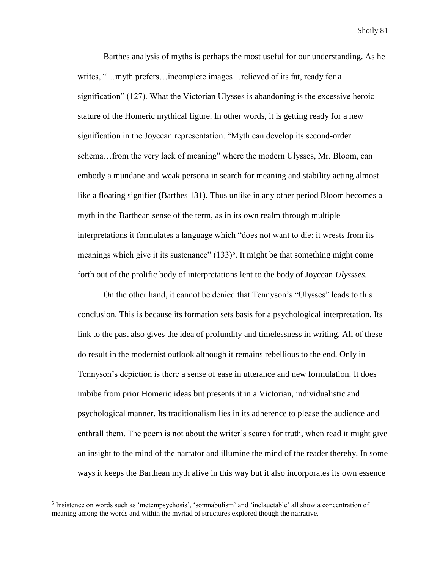Barthes analysis of myths is perhaps the most useful for our understanding. As he writes, "…myth prefers…incomplete images…relieved of its fat, ready for a signification" (127). What the Victorian Ulysses is abandoning is the excessive heroic stature of the Homeric mythical figure. In other words, it is getting ready for a new signification in the Joycean representation. "Myth can develop its second-order schema…from the very lack of meaning" where the modern Ulysses, Mr. Bloom, can embody a mundane and weak persona in search for meaning and stability acting almost like a floating signifier (Barthes 131). Thus unlike in any other period Bloom becomes a myth in the Barthean sense of the term, as in its own realm through multiple interpretations it formulates a language which "does not want to die: it wrests from its meanings which give it its sustenance"  $(133)^5$ . It might be that something might come forth out of the prolific body of interpretations lent to the body of Joycean *Ulyssses.*

On the other hand, it cannot be denied that Tennyson's "Ulysses" leads to this conclusion. This is because its formation sets basis for a psychological interpretation. Its link to the past also gives the idea of profundity and timelessness in writing. All of these do result in the modernist outlook although it remains rebellious to the end. Only in Tennyson's depiction is there a sense of ease in utterance and new formulation. It does imbibe from prior Homeric ideas but presents it in a Victorian, individualistic and psychological manner. Its traditionalism lies in its adherence to please the audience and enthrall them. The poem is not about the writer's search for truth, when read it might give an insight to the mind of the narrator and illumine the mind of the reader thereby. In some ways it keeps the Barthean myth alive in this way but it also incorporates its own essence

 $\overline{\phantom{a}}$ 

<sup>&</sup>lt;sup>5</sup> Insistence on words such as 'metempsychosis', 'somnabulism' and 'inelauctable' all show a concentration of meaning among the words and within the myriad of structures explored though the narrative.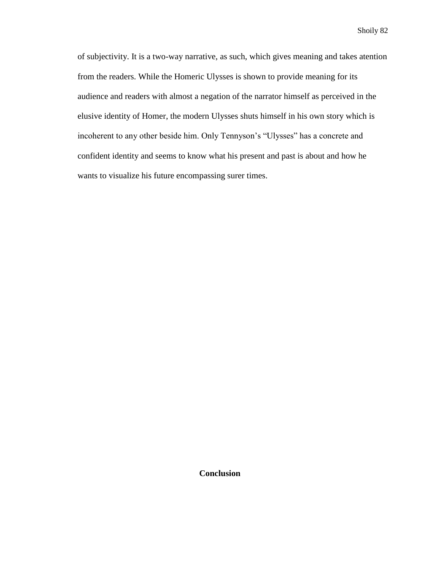of subjectivity. It is a two-way narrative, as such, which gives meaning and takes atention from the readers. While the Homeric Ulysses is shown to provide meaning for its audience and readers with almost a negation of the narrator himself as perceived in the elusive identity of Homer, the modern Ulysses shuts himself in his own story which is incoherent to any other beside him. Only Tennyson's "Ulysses" has a concrete and confident identity and seems to know what his present and past is about and how he wants to visualize his future encompassing surer times.

**Conclusion**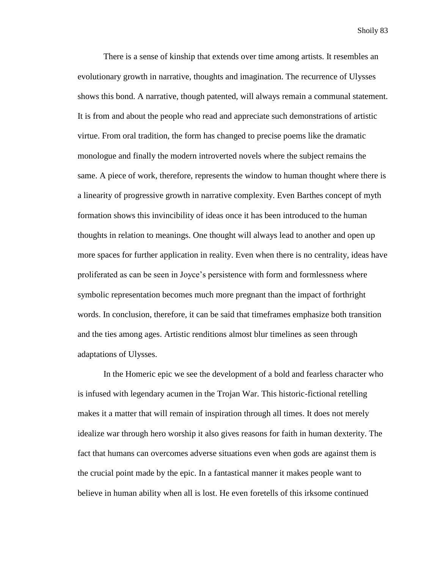There is a sense of kinship that extends over time among artists. It resembles an evolutionary growth in narrative, thoughts and imagination. The recurrence of Ulysses shows this bond. A narrative, though patented, will always remain a communal statement. It is from and about the people who read and appreciate such demonstrations of artistic virtue. From oral tradition, the form has changed to precise poems like the dramatic monologue and finally the modern introverted novels where the subject remains the same. A piece of work, therefore, represents the window to human thought where there is a linearity of progressive growth in narrative complexity. Even Barthes concept of myth formation shows this invincibility of ideas once it has been introduced to the human thoughts in relation to meanings. One thought will always lead to another and open up more spaces for further application in reality. Even when there is no centrality, ideas have proliferated as can be seen in Joyce's persistence with form and formlessness where symbolic representation becomes much more pregnant than the impact of forthright words. In conclusion, therefore, it can be said that timeframes emphasize both transition and the ties among ages. Artistic renditions almost blur timelines as seen through adaptations of Ulysses.

In the Homeric epic we see the development of a bold and fearless character who is infused with legendary acumen in the Trojan War. This historic-fictional retelling makes it a matter that will remain of inspiration through all times. It does not merely idealize war through hero worship it also gives reasons for faith in human dexterity. The fact that humans can overcomes adverse situations even when gods are against them is the crucial point made by the epic. In a fantastical manner it makes people want to believe in human ability when all is lost. He even foretells of this irksome continued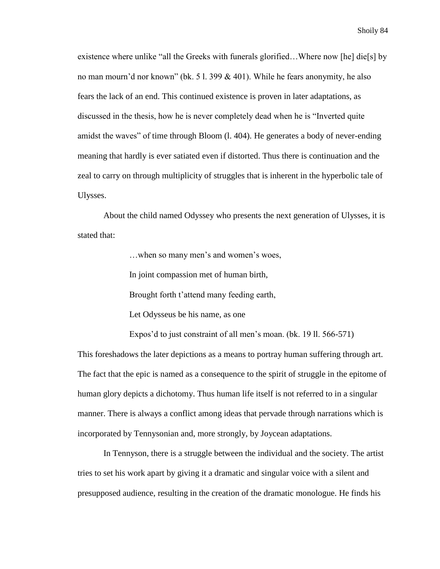existence where unlike "all the Greeks with funerals glorified…Where now [he] die[s] by no man mourn'd nor known" (bk. 5 l. 399 & 401). While he fears anonymity, he also fears the lack of an end. This continued existence is proven in later adaptations, as discussed in the thesis, how he is never completely dead when he is "Inverted quite amidst the waves" of time through Bloom (l. 404). He generates a body of never-ending meaning that hardly is ever satiated even if distorted. Thus there is continuation and the zeal to carry on through multiplicity of struggles that is inherent in the hyperbolic tale of Ulysses.

About the child named Odyssey who presents the next generation of Ulysses, it is stated that:

…when so many men's and women's woes,

In joint compassion met of human birth,

Brought forth t'attend many feeding earth,

Let Odysseus be his name, as one

Expos'd to just constraint of all men's moan. (bk. 19 ll. 566-571)

This foreshadows the later depictions as a means to portray human suffering through art. The fact that the epic is named as a consequence to the spirit of struggle in the epitome of human glory depicts a dichotomy. Thus human life itself is not referred to in a singular manner. There is always a conflict among ideas that pervade through narrations which is incorporated by Tennysonian and, more strongly, by Joycean adaptations.

In Tennyson, there is a struggle between the individual and the society. The artist tries to set his work apart by giving it a dramatic and singular voice with a silent and presupposed audience, resulting in the creation of the dramatic monologue. He finds his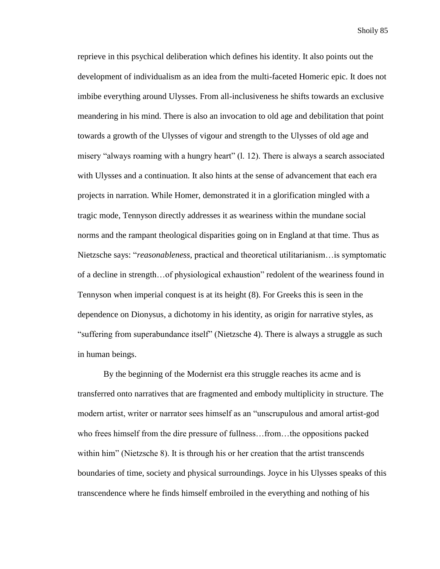reprieve in this psychical deliberation which defines his identity. It also points out the development of individualism as an idea from the multi-faceted Homeric epic. It does not imbibe everything around Ulysses. From all-inclusiveness he shifts towards an exclusive meandering in his mind. There is also an invocation to old age and debilitation that point towards a growth of the Ulysses of vigour and strength to the Ulysses of old age and misery "always roaming with a hungry heart" (l. 12). There is always a search associated with Ulysses and a continuation. It also hints at the sense of advancement that each era projects in narration. While Homer, demonstrated it in a glorification mingled with a tragic mode, Tennyson directly addresses it as weariness within the mundane social norms and the rampant theological disparities going on in England at that time. Thus as Nietzsche says: "*reasonableness,* practical and theoretical utilitarianism…is symptomatic of a decline in strength…of physiological exhaustion" redolent of the weariness found in Tennyson when imperial conquest is at its height (8). For Greeks this is seen in the dependence on Dionysus, a dichotomy in his identity, as origin for narrative styles, as "suffering from superabundance itself" (Nietzsche 4). There is always a struggle as such in human beings.

By the beginning of the Modernist era this struggle reaches its acme and is transferred onto narratives that are fragmented and embody multiplicity in structure. The modern artist, writer or narrator sees himself as an "unscrupulous and amoral artist-god who frees himself from the dire pressure of fullness…from…the oppositions packed within him" (Nietzsche 8). It is through his or her creation that the artist transcends boundaries of time, society and physical surroundings. Joyce in his Ulysses speaks of this transcendence where he finds himself embroiled in the everything and nothing of his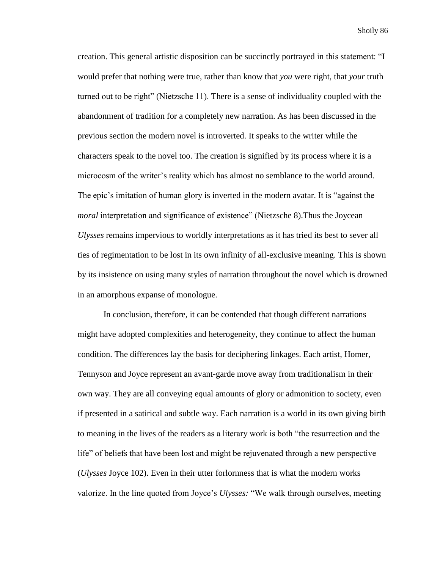creation. This general artistic disposition can be succinctly portrayed in this statement: "I would prefer that nothing were true, rather than know that *you* were right, that *your* truth turned out to be right" (Nietzsche 11). There is a sense of individuality coupled with the abandonment of tradition for a completely new narration. As has been discussed in the previous section the modern novel is introverted. It speaks to the writer while the characters speak to the novel too. The creation is signified by its process where it is a microcosm of the writer's reality which has almost no semblance to the world around. The epic's imitation of human glory is inverted in the modern avatar. It is "against the *moral* interpretation and significance of existence" (Nietzsche 8). Thus the Joycean *Ulysses* remains impervious to worldly interpretations as it has tried its best to sever all ties of regimentation to be lost in its own infinity of all-exclusive meaning. This is shown by its insistence on using many styles of narration throughout the novel which is drowned in an amorphous expanse of monologue.

In conclusion, therefore, it can be contended that though different narrations might have adopted complexities and heterogeneity, they continue to affect the human condition. The differences lay the basis for deciphering linkages. Each artist, Homer, Tennyson and Joyce represent an avant-garde move away from traditionalism in their own way. They are all conveying equal amounts of glory or admonition to society, even if presented in a satirical and subtle way. Each narration is a world in its own giving birth to meaning in the lives of the readers as a literary work is both "the resurrection and the life" of beliefs that have been lost and might be rejuvenated through a new perspective (*Ulysses* Joyce 102). Even in their utter forlornness that is what the modern works valorize. In the line quoted from Joyce's *Ulysses:* "We walk through ourselves, meeting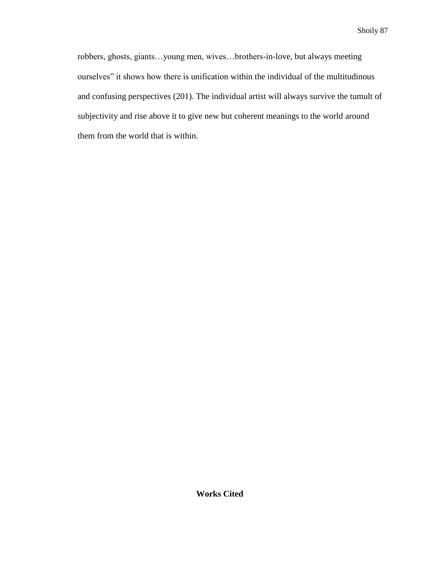robbers, ghosts, giants…young men, wives…brothers-in-love, but always meeting ourselves" it shows how there is unification within the individual of the multitudinous and confusing perspectives (201). The individual artist will always survive the tumult of subjectivity and rise above it to give new but coherent meanings to the world around them from the world that is within.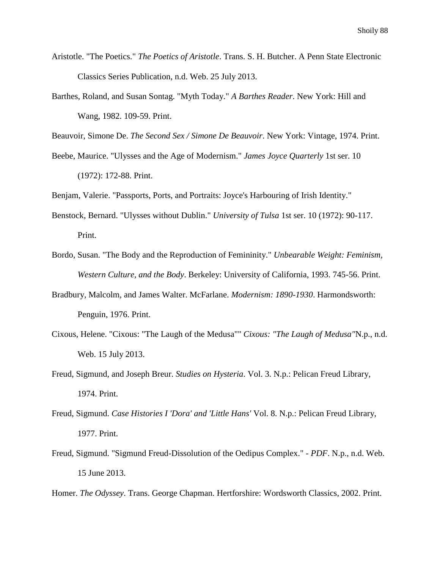- Aristotle. "The Poetics." *The Poetics of Aristotle*. Trans. S. H. Butcher. A Penn State Electronic Classics Series Publication, n.d. Web. 25 July 2013.
- Barthes, Roland, and Susan Sontag. "Myth Today." *A Barthes Reader*. New York: Hill and Wang, 1982. 109-59. Print.

Beauvoir, Simone De. *The Second Sex / Simone De Beauvoir*. New York: Vintage, 1974. Print.

- Beebe, Maurice. "Ulysses and the Age of Modernism." *James Joyce Quarterly* 1st ser. 10 (1972): 172-88. Print.
- Benjam, Valerie. "Passports, Ports, and Portraits: Joyce's Harbouring of Irish Identity."
- Benstock, Bernard. "Ulysses without Dublin." *University of Tulsa* 1st ser. 10 (1972): 90-117. Print.
- Bordo, Susan. "The Body and the Reproduction of Femininity." *Unbearable Weight: Feminism, Western Culture, and the Body*. Berkeley: University of California, 1993. 745-56. Print.
- Bradbury, Malcolm, and James Walter. McFarlane. *Modernism: 1890-1930*. Harmondsworth: Penguin, 1976. Print.
- Cixous, Helene. "Cixous: "The Laugh of the Medusa"" *Cixous: "The Laugh of Medusa"*N.p., n.d. Web. 15 July 2013.
- Freud, Sigmund, and Joseph Breur. *Studies on Hysteria*. Vol. 3. N.p.: Pelican Freud Library, 1974. Print.
- Freud, Sigmund. *Case Histories I 'Dora' and 'Little Hans'* Vol. 8. N.p.: Pelican Freud Library, 1977. Print.
- Freud, Sigmund. "Sigmund Freud-Dissolution of the Oedipus Complex." *- PDF*. N.p., n.d. Web. 15 June 2013.

Homer. *The Odyssey*. Trans. George Chapman. Hertforshire: Wordsworth Classics, 2002. Print.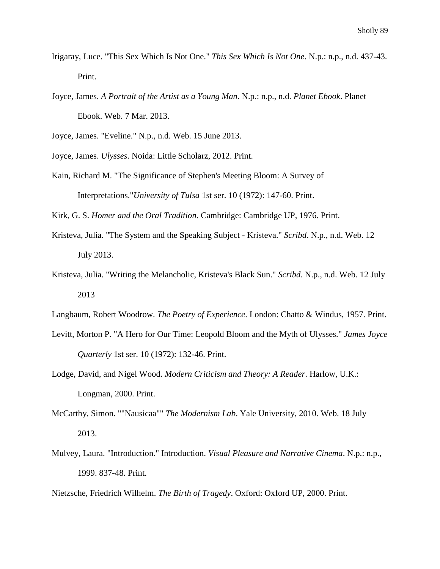- Irigaray, Luce. "This Sex Which Is Not One." *This Sex Which Is Not One*. N.p.: n.p., n.d. 437-43. Print.
- Joyce, James. *A Portrait of the Artist as a Young Man*. N.p.: n.p., n.d. *Planet Ebook*. Planet Ebook. Web. 7 Mar. 2013.

Joyce, James. "Eveline." N.p., n.d. Web. 15 June 2013.

- Joyce, James. *Ulysses*. Noida: Little Scholarz, 2012. Print.
- Kain, Richard M. "The Significance of Stephen's Meeting Bloom: A Survey of Interpretations."*University of Tulsa* 1st ser. 10 (1972): 147-60. Print.

Kirk, G. S. *Homer and the Oral Tradition*. Cambridge: Cambridge UP, 1976. Print.

- Kristeva, Julia. "The System and the Speaking Subject Kristeva." *Scribd*. N.p., n.d. Web. 12 July 2013.
- Kristeva, Julia. "Writing the Melancholic, Kristeva's Black Sun." *Scribd*. N.p., n.d. Web. 12 July 2013

Langbaum, Robert Woodrow. *The Poetry of Experience*. London: Chatto & Windus, 1957. Print.

- Levitt, Morton P. "A Hero for Our Time: Leopold Bloom and the Myth of Ulysses." *James Joyce Quarterly* 1st ser. 10 (1972): 132-46. Print.
- Lodge, David, and Nigel Wood. *Modern Criticism and Theory: A Reader*. Harlow, U.K.: Longman, 2000. Print.
- McCarthy, Simon. ""Nausicaa"" *The Modernism Lab*. Yale University, 2010. Web. 18 July 2013.
- Mulvey, Laura. "Introduction." Introduction. *Visual Pleasure and Narrative Cinema*. N.p.: n.p., 1999. 837-48. Print.

Nietzsche, Friedrich Wilhelm. *The Birth of Tragedy*. Oxford: Oxford UP, 2000. Print.